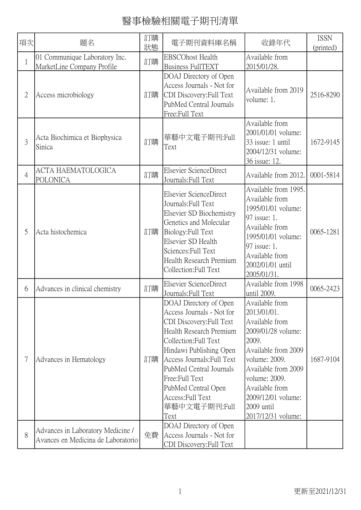| 項次             | 題名                                                                      | 訂購<br>狀態 | 電子期刊資料庫名稱                                                                                                                                                                                                                                                                                                     | 收錄年代                                                                                                                                                                                                                                       | <b>ISSN</b><br>(printed) |
|----------------|-------------------------------------------------------------------------|----------|---------------------------------------------------------------------------------------------------------------------------------------------------------------------------------------------------------------------------------------------------------------------------------------------------------------|--------------------------------------------------------------------------------------------------------------------------------------------------------------------------------------------------------------------------------------------|--------------------------|
| $\mathbf{1}$   | 01 Communique Laboratory Inc.<br>MarketLine Company Profile             | 訂購       | <b>EBSCOhost Health</b><br><b>Business FullTEXT</b>                                                                                                                                                                                                                                                           | Available from<br>2015/01/28.                                                                                                                                                                                                              |                          |
| $\overline{2}$ | Access microbiology                                                     | 訂購       | DOAJ Directory of Open<br>Access Journals - Not for<br>CDI Discovery: Full Text<br>PubMed Central Journals<br>Free:Full Text                                                                                                                                                                                  | Available from 2019<br>volume: 1.                                                                                                                                                                                                          | 2516-8290                |
| 3              | Acta Biochimica et Biophysica<br>Sinica                                 | 訂購       | 華藝中文電子期刊:Full<br>Text                                                                                                                                                                                                                                                                                         | Available from<br>2001/01/01 volume:<br>33 issue: 1 until<br>2004/12/31 volume:<br>36 issue: 12.                                                                                                                                           | 1672-9145                |
| $\overline{4}$ | ACTA HAEMATOLOGICA<br>POLONICA                                          | 訂購       | Elsevier ScienceDirect<br>Journals: Full Text                                                                                                                                                                                                                                                                 | Available from 2012.                                                                                                                                                                                                                       | 0001-5814                |
| 5              | Acta histochemica                                                       | 訂購       | Elsevier ScienceDirect<br>Journals: Full Text<br>Elsevier SD Biochemistry<br>Genetics and Molecular<br>Biology: Full Text<br>Elsevier SD Health<br>Sciences: Full Text<br>Health Research Premium<br>Collection: Full Text                                                                                    | Available from 1995.<br>Available from<br>1995/01/01 volume:<br>97 issue: 1.<br>Available from<br>1995/01/01 volume:<br>97 issue: 1.<br>Available from<br>2002/01/01 until<br>2005/01/31.                                                  | 0065-1281                |
| 6              | Advances in clinical chemistry                                          | 訂購       | Elsevier ScienceDirect<br>Journals: Full Text                                                                                                                                                                                                                                                                 | Available from 1998<br>until 2009.                                                                                                                                                                                                         | 0065-2423                |
| 7              | Advances in Hematology                                                  | 訂購       | DOAJ Directory of Open<br>Access Journals - Not for<br>CDI Discovery: Full Text<br>Health Research Premium<br>Collection:Full Text<br>Hindawi Publishing Open<br>Access Journals: Full Text<br>PubMed Central Journals<br>Free:Full Text<br>PubMed Central Open<br>Access: Full Text<br>華藝中文電子期刊:Full<br>Text | Available from<br>2013/01/01.<br>Available from<br>2009/01/28 volume:<br>2009.<br>Available from 2009<br>volume: 2009.<br>Available from 2009<br>volume: 2009.<br>Available from<br>2009/12/01 volume:<br>2009 until<br>2017/12/31 volume: | 1687-9104                |
| 8              | Advances in Laboratory Medicine /<br>Avances en Medicina de Laboratorio | 免費       | DOAJ Directory of Open<br>Access Journals - Not for<br>CDI Discovery: Full Text                                                                                                                                                                                                                               |                                                                                                                                                                                                                                            |                          |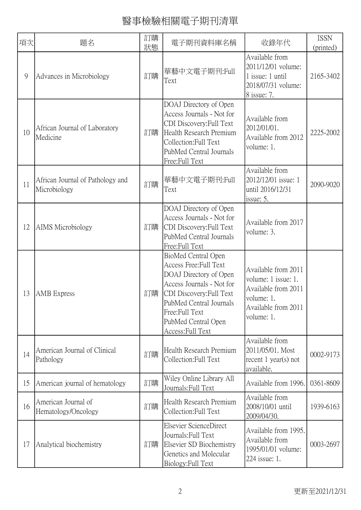| 項次 | 題名                                               | 訂購<br>狀態 | 電子期刊資料庫名稱                                                                                                                                                                                                                 | 收錄年代                                                                                                                 | <b>ISSN</b><br>(printed) |
|----|--------------------------------------------------|----------|---------------------------------------------------------------------------------------------------------------------------------------------------------------------------------------------------------------------------|----------------------------------------------------------------------------------------------------------------------|--------------------------|
| 9  | Advances in Microbiology                         | 訂購       | 華藝中文電子期刊:Full<br>Text                                                                                                                                                                                                     | Available from<br>2011/12/01 volume:<br>1 issue: 1 until<br>2018/07/31 volume:<br>8 issue: 7.                        | 2165-3402                |
| 10 | African Journal of Laboratory<br>Medicine        | 訂購       | DOAJ Directory of Open<br>Access Journals - Not for<br>CDI Discovery: Full Text<br>Health Research Premium<br>Collection: Full Text<br>PubMed Central Journals<br>Free:Full Text                                          | Available from<br>2012/01/01.<br>Available from 2012<br>volume: 1.                                                   | 2225-2002                |
| 11 | African Journal of Pathology and<br>Microbiology | 訂購       | 華藝中文電子期刊:Full<br>Text                                                                                                                                                                                                     | Available from<br>2012/12/01 issue: 1<br>until 2016/12/31<br>issue: 5.                                               | 2090-9020                |
| 12 | AIMS Microbiology                                | 訂購       | DOAJ Directory of Open<br>Access Journals - Not for<br>CDI Discovery: Full Text<br>PubMed Central Journals<br>Free:Full Text                                                                                              | Available from 2017<br>volume: 3.                                                                                    |                          |
| 13 | <b>AMB</b> Express                               | 訂購       | BioMed Central Open<br>Access Free: Full Text<br>DOAJ Directory of Open<br>Access Journals - Not for<br>CDI Discovery: Full Text<br>PubMed Central Journals<br>Free:Full Text<br>PubMed Central Open<br>Access: Full Text | Available from 2011<br>volume: 1 issue: 1.<br>Available from 2011<br>volume: 1.<br>Available from 2011<br>volume: 1. |                          |
| 14 | American Journal of Clinical<br>Pathology        | 訂購       | Health Research Premium<br>Collection: Full Text                                                                                                                                                                          | Available from<br>2011/05/01. Most<br>recent $1$ year(s) not<br>available.                                           | 0002-9173                |
| 15 | American journal of hematology                   | 訂購       | Wiley Online Library All<br>Journals: Full Text                                                                                                                                                                           | Available from 1996.                                                                                                 | 0361-8609                |
| 16 | American Journal of<br>Hematology/Oncology       | 訂購       | Health Research Premium<br>Collection: Full Text                                                                                                                                                                          | Available from<br>2008/10/01 until<br>2009/04/30.                                                                    | 1939-6163                |
| 17 | Analytical biochemistry                          | 訂購       | Elsevier ScienceDirect<br>Journals: Full Text<br>Elsevier SD Biochemistry<br>Genetics and Molecular<br>Biology: Full Text                                                                                                 | Available from 1995.<br>Available from<br>1995/01/01 volume:<br>224 issue: 1.                                        | 0003-2697                |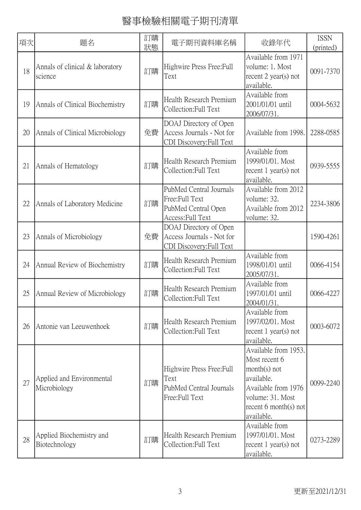| 項次 | 題名                                         | 訂購<br>狀態 | 電子期刊資料庫名稱                                                                             | 收錄年代                                                                                                                                                         | <b>ISSN</b><br>(printed) |
|----|--------------------------------------------|----------|---------------------------------------------------------------------------------------|--------------------------------------------------------------------------------------------------------------------------------------------------------------|--------------------------|
| 18 | Annals of clinical & laboratory<br>science | 訂購       | Highwire Press Free: Full<br>Text                                                     | Available from 1971<br>volume: 1. Most<br>recent $2$ year(s) not<br>available.                                                                               | 0091-7370                |
| 19 | Annals of Clinical Biochemistry            | 訂購       | Health Research Premium<br>Collection: Full Text                                      | Available from<br>2001/01/01 until<br>2006/07/31.                                                                                                            | 0004-5632                |
| 20 | Annals of Clinical Microbiology            | 免費       | DOAJ Directory of Open<br>Access Journals - Not for<br>CDI Discovery: Full Text       | Available from 1998.                                                                                                                                         | 2288-0585                |
| 21 | Annals of Hematology                       | 訂購       | Health Research Premium<br>Collection: Full Text                                      | Available from<br>1999/01/01. Most<br>recent $1$ year(s) not<br>available.                                                                                   | 0939-5555                |
| 22 | Annals of Laboratory Medicine              | 訂購       | PubMed Central Journals<br>Free:Full Text<br>PubMed Central Open<br>Access: Full Text | Available from 2012<br>volume: 32.<br>Available from 2012<br>volume: 32.                                                                                     | 2234-3806                |
| 23 | Annals of Microbiology                     | 免費       | DOAJ Directory of Open<br>Access Journals - Not for<br>CDI Discovery: Full Text       |                                                                                                                                                              | 1590-4261                |
| 24 | Annual Review of Biochemistry              | 訂購       | Health Research Premium<br>Collection: Full Text                                      | Available from<br>1998/01/01 until<br>2005/07/31.                                                                                                            | 0066-4154                |
| 25 | Annual Review of Microbiology              | 訂購       | Health Research Premium<br>Collection: Full Text                                      | Available from<br>1997/01/01 until<br>2004/01/31.                                                                                                            | 0066-4227                |
| 26 | Antonie van Leeuwenhoek                    | 訂購       | Health Research Premium<br>Collection: Full Text                                      | Available from<br>1997/02/01. Most<br>recent $1$ year(s) not<br>available.                                                                                   | 0003-6072                |
| 27 | Applied and Environmental<br>Microbiology  | 訂購       | Highwire Press Free: Full<br>Text<br>PubMed Central Journals<br>Free:Full Text        | Available from 1953.<br>Most recent 6<br>$month(s)$ not<br>available.<br>Available from 1976<br>volume: 31. Most<br>recent $6$ month $(s)$ not<br>available. | 0099-2240                |
| 28 | Applied Biochemistry and<br>Biotechnology  | 訂購       | Health Research Premium<br>Collection: Full Text                                      | Available from<br>1997/01/01. Most<br>recent $1$ year(s) not<br>available.                                                                                   | 0273-2289                |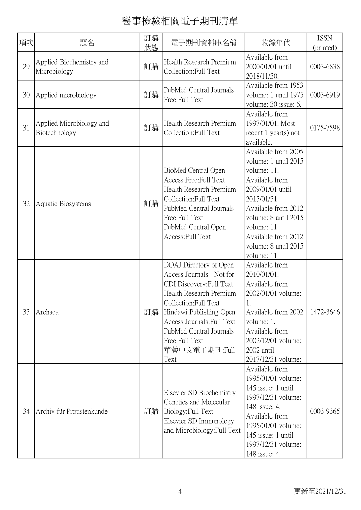| 項次 | 題名                                        | 訂購<br>狀態 | 電子期刊資料庫名稱                                                                                                                                                                                                                                                           | 收錄年代                                                                                                                                                                                                                                        | <b>ISSN</b><br>(printed) |
|----|-------------------------------------------|----------|---------------------------------------------------------------------------------------------------------------------------------------------------------------------------------------------------------------------------------------------------------------------|---------------------------------------------------------------------------------------------------------------------------------------------------------------------------------------------------------------------------------------------|--------------------------|
| 29 | Applied Biochemistry and<br>Microbiology  | 訂購       | Health Research Premium<br>Collection:Full Text                                                                                                                                                                                                                     | Available from<br>2000/01/01 until<br>2018/11/30.                                                                                                                                                                                           | 0003-6838                |
| 30 | Applied microbiology                      | 訂購       | PubMed Central Journals<br>Free:Full Text                                                                                                                                                                                                                           | Available from 1953<br>volume: 1 until 1975<br>volume: 30 issue: 6.                                                                                                                                                                         | 0003-6919                |
| 31 | Applied Microbiology and<br>Biotechnology | 訂購       | Health Research Premium<br>Collection: Full Text                                                                                                                                                                                                                    | Available from<br>1997/01/01. Most<br>recent $1$ year(s) not<br>available.                                                                                                                                                                  | 0175-7598                |
| 32 | Aquatic Biosystems                        | 訂購       | BioMed Central Open<br>Access Free: Full Text<br>Health Research Premium<br>Collection: Full Text<br>PubMed Central Journals<br>Free:Full Text<br>PubMed Central Open<br>Access: Full Text                                                                          | Available from 2005<br>volume: 1 until 2015<br>volume: 11.<br>Available from<br>2009/01/01 until<br>2015/01/31.<br>Available from 2012<br>volume: 8 until 2015<br>volume: 11.<br>Available from 2012<br>volume: 8 until 2015<br>volume: 11. |                          |
| 33 | Archaea                                   | 訂購       | DOAJ Directory of Open<br>Access Journals - Not for<br>CDI Discovery: Full Text<br>Health Research Premium<br>Collection: Full Text<br>Hindawi Publishing Open<br>Access Journals: Full Text<br>PubMed Central Journals<br>Free: Full Text<br>華藝中文電子期刊:Full<br>Text | Available from<br>2010/01/01.<br>Available from<br>2002/01/01 volume:<br>$\mathbf{1}$<br>Available from 2002<br>volume: 1.<br>Available from<br>2002/12/01 volume:<br>2002 until<br>2017/12/31 volume:                                      | 1472-3646                |
| 34 | Archiv für Protistenkunde                 | 訂購       | Elsevier SD Biochemistry<br>Genetics and Molecular<br>Biology: Full Text<br>Elsevier SD Immunology<br>and Microbiology: Full Text                                                                                                                                   | Available from<br>1995/01/01 volume:<br>145 issue: 1 until<br>1997/12/31 volume:<br>148 issue: 4.<br>Available from<br>1995/01/01 volume:<br>145 issue: 1 until<br>1997/12/31 volume:<br>148 issue: 4.                                      | 0003-9365                |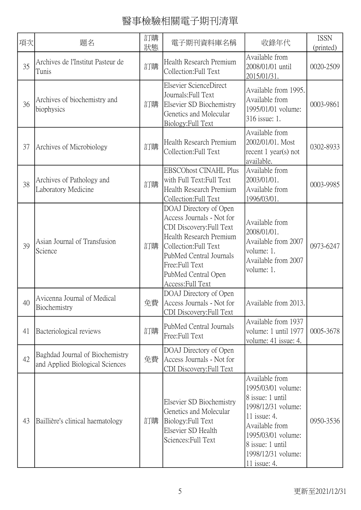| 項次 | 題名                                                                 | 訂購<br>狀態 | 電子期刊資料庫名稱                                                                                                                                                                                                                    | 收錄年代                                                                                                                                                                                             | <b>ISSN</b><br>(printed) |
|----|--------------------------------------------------------------------|----------|------------------------------------------------------------------------------------------------------------------------------------------------------------------------------------------------------------------------------|--------------------------------------------------------------------------------------------------------------------------------------------------------------------------------------------------|--------------------------|
| 35 | Archives de l'Institut Pasteur de<br>Tunis                         | 訂購       | Health Research Premium<br>Collection: Full Text                                                                                                                                                                             | Available from<br>2008/01/01 until<br>2015/01/31.                                                                                                                                                | 0020-2509                |
| 36 | Archives of biochemistry and<br>biophysics                         | 訂購       | Elsevier ScienceDirect<br>Journals: Full Text<br>Elsevier SD Biochemistry<br>Genetics and Molecular<br>Biology: Full Text                                                                                                    | Available from 1995.<br>Available from<br>1995/01/01 volume:<br>316 issue: 1.                                                                                                                    | 0003-9861                |
| 37 | Archives of Microbiology                                           | 訂購       | Health Research Premium<br>Collection: Full Text                                                                                                                                                                             | Available from<br>2002/01/01. Most<br>recent 1 year(s) not<br>available.                                                                                                                         | 0302-8933                |
| 38 | Archives of Pathology and<br>Laboratory Medicine                   | 訂購       | <b>EBSCOhost CINAHL Plus</b><br>with Full Text: Full Text<br>Health Research Premium<br>Collection: Full Text                                                                                                                | Available from<br>2003/01/01.<br>Available from<br>1996/03/01.                                                                                                                                   | 0003-9985                |
| 39 | Asian Journal of Transfusion<br>Science                            | 訂購       | DOAJ Directory of Open<br>Access Journals - Not for<br>CDI Discovery: Full Text<br>Health Research Premium<br>Collection: Full Text<br>PubMed Central Journals<br>Free:Full Text<br>PubMed Central Open<br>Access: Full Text | Available from<br>2008/01/01.<br>Available from 2007<br>volume: 1.<br>Available from 2007<br>volume: 1.                                                                                          | 0973-6247                |
| 40 | Avicenna Journal of Medical<br>Biochemistry                        | 免費       | DOAJ Directory of Open<br>Access Journals - Not for<br>CDI Discovery: Full Text                                                                                                                                              | Available from 2013.                                                                                                                                                                             |                          |
| 41 | Bacteriological reviews                                            | 訂購       | PubMed Central Journals<br>Free:Full Text                                                                                                                                                                                    | Available from 1937<br>volume: 1 until 1977<br>volume: 41 issue: 4.                                                                                                                              | 0005-3678                |
| 42 | Baghdad Journal of Biochemistry<br>and Applied Biological Sciences | 免費       | DOAJ Directory of Open<br>Access Journals - Not for<br>CDI Discovery: Full Text                                                                                                                                              |                                                                                                                                                                                                  |                          |
| 43 | Baillière's clinical haematology                                   | 訂購       | Elsevier SD Biochemistry<br>Genetics and Molecular<br>Biology: Full Text<br>Elsevier SD Health<br>Sciences: Full Text                                                                                                        | Available from<br>1995/03/01 volume:<br>8 issue: 1 until<br>1998/12/31 volume:<br>11 issue: 4.<br>Available from<br>1995/03/01 volume:<br>8 issue: 1 until<br>1998/12/31 volume:<br>11 issue: 4. | 0950-3536                |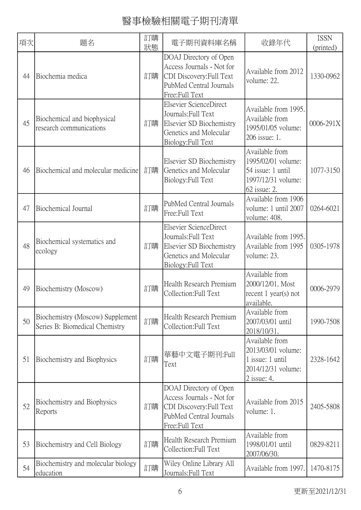| 項次 | 題名                                                                 | 訂購<br>狀態 | 電子期刊資料庫名稱                                                                                                                    | 收錄年代                                                                                            | <b>ISSN</b><br>(printed) |
|----|--------------------------------------------------------------------|----------|------------------------------------------------------------------------------------------------------------------------------|-------------------------------------------------------------------------------------------------|--------------------------|
| 44 | Biochemia medica                                                   | 訂購       | DOAJ Directory of Open<br>Access Journals - Not for<br>CDI Discovery: Full Text<br>PubMed Central Journals<br>Free:Full Text | Available from 2012<br>volume: 22.                                                              | 1330-0962                |
| 45 | Biochemical and biophysical<br>research communications             | 訂購       | Elsevier ScienceDirect<br>Journals: Full Text<br>Elsevier SD Biochemistry<br>Genetics and Molecular<br>Biology: Full Text    | Available from 1995.<br>Available from<br>1995/01/05 volume:<br>206 issue: 1.                   | 0006-291X                |
| 46 | Biochemical and molecular medicine                                 | 訂購       | Elsevier SD Biochemistry<br>Genetics and Molecular<br>Biology: Full Text                                                     | Available from<br>1995/02/01 volume:<br>54 issue: 1 until<br>1997/12/31 volume:<br>62 issue: 2. | 1077-3150                |
| 47 | Biochemical Journal                                                | 訂購       | PubMed Central Journals<br>Free:Full Text                                                                                    | Available from 1906<br>volume: 1 until 2007<br>volume: 408.                                     | 0264-6021                |
| 48 | Biochemical systematics and<br>ecology                             | 訂購       | Elsevier ScienceDirect<br>Journals: Full Text<br>Elsevier SD Biochemistry<br>Genetics and Molecular<br>Biology: Full Text    | Available from 1995.<br>Available from 1995<br>volume: 23.                                      | 0305-1978                |
| 49 | Biochemistry (Moscow)                                              | 訂購       | Health Research Premium<br>Collection: Full Text                                                                             | Available from<br>2000/12/01. Most<br>recent $1$ year(s) not<br>available.                      | 0006-2979                |
| 50 | Biochemistry (Moscow) Supplement<br>Series B: Biomedical Chemistry | 訂購       | Health Research Premium<br>Collection: Full Text                                                                             | Available from<br>2007/03/01 until<br>2018/10/31.                                               | 1990-7508                |
| 51 | Biochemistry and Biophysics                                        | 訂購       | 華藝中文電子期刊:Full<br>Text                                                                                                        | Available from<br>2013/03/01 volume:<br>1 issue: 1 until<br>2014/12/31 volume:<br>2 issue: 4.   | 2328-1642                |
| 52 | Biochemistry and Biophysics<br>Reports                             | 訂購       | DOAJ Directory of Open<br>Access Journals - Not for<br>CDI Discovery: Full Text<br>PubMed Central Journals<br>Free:Full Text | Available from 2015<br>volume: 1.                                                               | 2405-5808                |
| 53 | Biochemistry and Cell Biology                                      | 訂購       | Health Research Premium<br>Collection: Full Text                                                                             | Available from<br>1998/01/01 until<br>2007/06/30.                                               | 0829-8211                |
| 54 | Biochemistry and molecular biology<br>education                    | 訂購       | Wiley Online Library All<br>Journals: Full Text                                                                              | Available from 1997.                                                                            | 1470-8175                |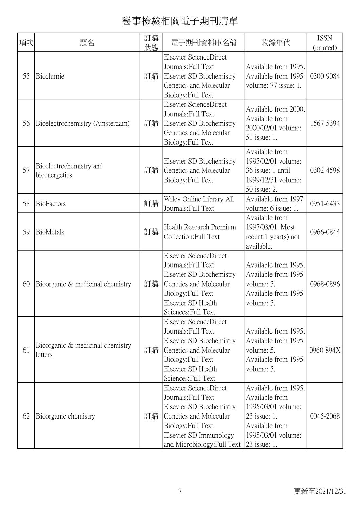| 項次 | 題名                                          | 訂購<br>狀態 | 電子期刊資料庫名稱                                                                                                                                                                          | 收錄年代                                                                                                                                 | <b>ISSN</b><br>(printed) |
|----|---------------------------------------------|----------|------------------------------------------------------------------------------------------------------------------------------------------------------------------------------------|--------------------------------------------------------------------------------------------------------------------------------------|--------------------------|
| 55 | Biochimie                                   | 訂購       | Elsevier ScienceDirect<br>Journals: Full Text<br>Elsevier SD Biochemistry<br>Genetics and Molecular<br>Biology: Full Text                                                          | Available from 1995.<br>Available from 1995<br>volume: 77 issue: 1.                                                                  | 0300-9084                |
| 56 | Bioelectrochemistry (Amsterdam)             | 訂購       | <b>Elsevier ScienceDirect</b><br>Journals: Full Text<br>Elsevier SD Biochemistry<br>Genetics and Molecular<br>Biology: Full Text                                                   | Available from 2000.<br>Available from<br>2000/02/01 volume:<br>51 issue: 1.                                                         | 1567-5394                |
| 57 | Bioelectrochemistry and<br>bioenergetics    | 訂購       | Elsevier SD Biochemistry<br>Genetics and Molecular<br>Biology: Full Text                                                                                                           | Available from<br>1995/02/01 volume:<br>36 issue: 1 until<br>1999/12/31 volume:<br>50 issue: 2.                                      | 0302-4598                |
| 58 | BioFactors                                  | 訂購       | Wiley Online Library All<br>Journals: Full Text                                                                                                                                    | Available from 1997<br>volume: 6 issue: 1.                                                                                           | 0951-6433                |
| 59 | BioMetals                                   | 訂購       | Health Research Premium<br>Collection: Full Text                                                                                                                                   | Available from<br>1997/03/01. Most<br>recent $1$ year(s) not<br>available.                                                           | 0966-0844                |
| 60 | Bioorganic & medicinal chemistry            | 訂購       | Elsevier ScienceDirect<br>Journals: Full Text<br>Elsevier SD Biochemistry<br>Genetics and Molecular<br>Biology: Full Text<br>Elsevier SD Health<br>Sciences: Full Text             | Available from 1995.<br>Available from 1995<br>volume: 3.<br>Available from 1995<br>volume: 3.                                       | 0968-0896                |
| 61 | Bioorganic & medicinal chemistry<br>letters | 訂購       | Elsevier ScienceDirect<br>Journals: Full Text<br>Elsevier SD Biochemistry<br>Genetics and Molecular<br>Biology: Full Text<br>Elsevier SD Health<br>Sciences: Full Text             | Available from 1995.<br>Available from 1995<br>volume: 5.<br>Available from 1995<br>volume: 5.                                       | 0960-894X                |
| 62 | Bioorganic chemistry                        | 訂購       | Elsevier ScienceDirect<br>Journals: Full Text<br>Elsevier SD Biochemistry<br>Genetics and Molecular<br>Biology: Full Text<br>Elsevier SD Immunology<br>and Microbiology: Full Text | Available from 1995.<br>Available from<br>1995/03/01 volume:<br>23 issue: 1.<br>Available from<br>1995/03/01 volume:<br>23 issue: 1. | 0045-2068                |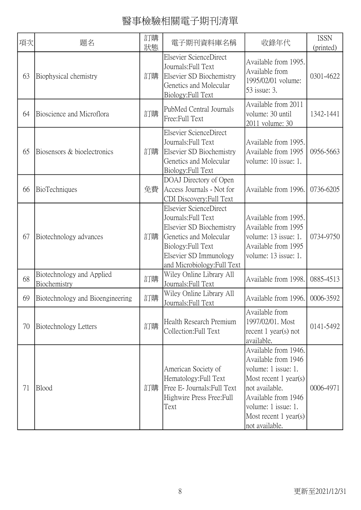| 項次 | 題名                                        | 訂購<br>狀態 | 電子期刊資料庫名稱                                                                                                                                                                          | 收錄年代                                                                                                                                                                                                     | <b>ISSN</b><br>(printed) |
|----|-------------------------------------------|----------|------------------------------------------------------------------------------------------------------------------------------------------------------------------------------------|----------------------------------------------------------------------------------------------------------------------------------------------------------------------------------------------------------|--------------------------|
| 63 | Biophysical chemistry                     | 訂購       | Elsevier ScienceDirect<br>Journals: Full Text<br>Elsevier SD Biochemistry<br>Genetics and Molecular<br>Biology: Full Text                                                          | Available from 1995.<br>Available from<br>1995/02/01 volume:<br>53 issue: 3.                                                                                                                             | 0301-4622                |
| 64 | Bioscience and Microflora                 | 訂購       | PubMed Central Journals<br>Free:Full Text                                                                                                                                          | Available from 2011<br>volume: 30 until<br>2011 volume: 30                                                                                                                                               | 1342-1441                |
| 65 | Biosensors & bioelectronics               | 訂購       | Elsevier ScienceDirect<br>Journals: Full Text<br>Elsevier SD Biochemistry<br>Genetics and Molecular<br>Biology: Full Text                                                          | Available from 1995.<br>Available from 1995<br>volume: 10 issue: 1.                                                                                                                                      | 0956-5663                |
| 66 | BioTechniques                             | 免費       | DOAJ Directory of Open<br>Access Journals - Not for<br>CDI Discovery: Full Text                                                                                                    | Available from 1996.                                                                                                                                                                                     | 0736-6205                |
| 67 | Biotechnology advances                    | 訂購       | Elsevier ScienceDirect<br>Journals: Full Text<br>Elsevier SD Biochemistry<br>Genetics and Molecular<br>Biology: Full Text<br>Elsevier SD Immunology<br>and Microbiology: Full Text | Available from 1995.<br>Available from 1995<br>volume: 13 issue: 1.<br>Available from 1995<br>volume: 13 issue: 1.                                                                                       | 0734-9750                |
| 68 | Biotechnology and Applied<br>Biochemistry | 訂購       | Wiley Online Library All<br>Journals: Full Text                                                                                                                                    | Available from 1998.                                                                                                                                                                                     | 0885-4513                |
| 69 | Biotechnology and Bioengineering          | 訂購       | Wiley Online Library All<br>Journals: Full Text                                                                                                                                    | Available from 1996.                                                                                                                                                                                     | 0006-3592                |
| 70 | Biotechnology Letters                     | 訂購       | Health Research Premium<br>Collection: Full Text                                                                                                                                   | Available from<br>1997/02/01. Most<br>recent $1$ year(s) not<br>available.                                                                                                                               | 0141-5492                |
| 71 | Blood                                     | 訂購       | American Society of<br>Hematology: Full Text<br>Free E- Journals: Full Text<br>Highwire Press Free: Full<br>Text                                                                   | Available from 1946.<br>Available from 1946<br>volume: 1 issue: 1.<br>Most recent 1 year(s)<br>not available.<br>Available from 1946<br>volume: 1 issue: 1.<br>Most recent $1$ year(s)<br>not available. | 0006-4971                |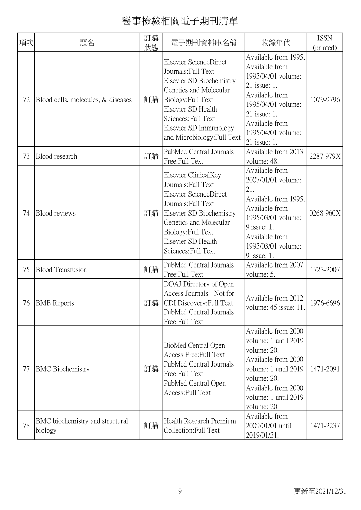| 項次 | 題名                                         | 訂購<br>狀態 | 電子期刊資料庫名稱                                                                                                                                                                                                                       | 收錄年代                                                                                                                                                                                           | <b>ISSN</b><br>(printed) |
|----|--------------------------------------------|----------|---------------------------------------------------------------------------------------------------------------------------------------------------------------------------------------------------------------------------------|------------------------------------------------------------------------------------------------------------------------------------------------------------------------------------------------|--------------------------|
| 72 | Blood cells, molecules, & diseases         | 訂購       | Elsevier ScienceDirect<br>Journals: Full Text<br>Elsevier SD Biochemistry<br>Genetics and Molecular<br>Biology: Full Text<br>Elsevier SD Health<br>Sciences: Full Text<br>Elsevier SD Immunology<br>and Microbiology: Full Text | Available from 1995.<br>Available from<br>1995/04/01 volume:<br>21 issue: 1.<br>Available from<br>1995/04/01 volume:<br>21 issue: 1.<br>Available from<br>1995/04/01 volume:<br>$21$ issue: 1. | 1079-9796                |
| 73 | Blood research                             | 訂購       | PubMed Central Journals<br>Free:Full Text                                                                                                                                                                                       | Available from 2013<br>volume: 48.                                                                                                                                                             | 2287-979X                |
| 74 | <b>Blood</b> reviews                       | 訂購       | Elsevier ClinicalKey<br>Journals: Full Text<br>Elsevier ScienceDirect<br>Journals: Full Text<br>Elsevier SD Biochemistry<br>Genetics and Molecular<br>Biology: Full Text<br>Elsevier SD Health<br>Sciences: Full Text           | Available from<br>2007/01/01 volume:<br>21.<br>Available from 1995.<br>Available from<br>1995/03/01 volume:<br>9 issue: 1.<br>Available from<br>1995/03/01 volume:<br>9 issue: 1.              | 0268-960X                |
| 75 | <b>Blood Transfusion</b>                   | 訂購       | PubMed Central Journals<br>Free:Full Text                                                                                                                                                                                       | Available from 2007<br>volume: 5.                                                                                                                                                              | 1723-2007                |
|    | 76   BMB Reports                           | 訂購       | DOAJ Directory of Open<br>Access Journals - Not for<br>CDI Discovery: Full Text<br>PubMed Central Journals<br>Free:Full Text                                                                                                    | Available from 2012<br>volume: 45 issue: 11.                                                                                                                                                   | 1976-6696                |
| 77 | <b>BMC</b> Biochemistry                    | 訂購       | BioMed Central Open<br>Access Free: Full Text<br>PubMed Central Journals<br>Free:Full Text<br>PubMed Central Open<br>Access: Full Text                                                                                          | Available from 2000<br>volume: 1 until 2019<br>volume: 20.<br>Available from 2000<br>volume: 1 until 2019<br>volume: 20.<br>Available from 2000<br>volume: 1 until 2019<br>volume: 20.         | 1471-2091                |
| 78 | BMC biochemistry and structural<br>biology | 訂購       | Health Research Premium<br>Collection: Full Text                                                                                                                                                                                | Available from<br>2009/01/01 until<br>2019/01/31.                                                                                                                                              | 1471-2237                |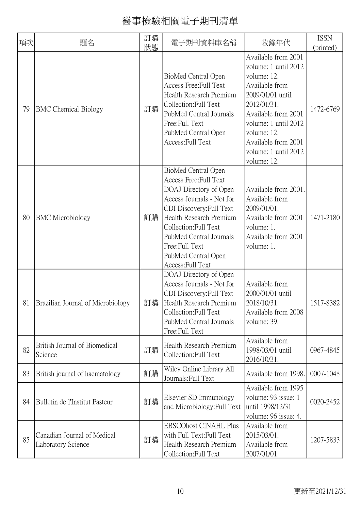| 項次 | 題名                                                | 訂購<br>狀態 | 電子期刊資料庫名稱                                                                                                                                                                                                                                                                     | 收錄年代                                                                                                                                                                                                                                        | <b>ISSN</b><br>(printed) |
|----|---------------------------------------------------|----------|-------------------------------------------------------------------------------------------------------------------------------------------------------------------------------------------------------------------------------------------------------------------------------|---------------------------------------------------------------------------------------------------------------------------------------------------------------------------------------------------------------------------------------------|--------------------------|
| 79 | <b>BMC</b> Chemical Biology                       | 訂購       | BioMed Central Open<br>Access Free: Full Text<br>Health Research Premium<br>Collection: Full Text<br>PubMed Central Journals<br>Free:Full Text<br>PubMed Central Open<br>Access: Full Text                                                                                    | Available from 2001<br>volume: 1 until 2012<br>volume: 12.<br>Available from<br>2009/01/01 until<br>2012/01/31.<br>Available from 2001<br>volume: 1 until 2012<br>volume: 12.<br>Available from 2001<br>volume: 1 until 2012<br>volume: 12. | 1472-6769                |
| 80 | <b>BMC</b> Microbiology                           | 訂購       | BioMed Central Open<br>Access Free: Full Text<br>DOAJ Directory of Open<br>Access Journals - Not for<br>CDI Discovery: Full Text<br>Health Research Premium<br>Collection: Full Text<br>PubMed Central Journals<br>Free:Full Text<br>PubMed Central Open<br>Access: Full Text | Available from 2001.<br>Available from<br>2009/01/01.<br>Available from 2001<br>volume: 1.<br>Available from 2001<br>volume: 1.                                                                                                             | 1471-2180                |
| 81 | Brazilian Journal of Microbiology                 | 訂購       | DOAJ Directory of Open<br>Access Journals - Not for<br>CDI Discovery: Full Text<br>Health Research Premium<br>Collection: Full Text<br>PubMed Central Journals<br>Free: Full Text                                                                                             | Available from<br>2000/01/01 until<br>2018/10/31<br>Available from 2008<br>volume: 39.                                                                                                                                                      | 1517-8382                |
| 82 | British Journal of Biomedical<br>Science          | 訂購       | Health Research Premium<br>Collection: Full Text                                                                                                                                                                                                                              | Available from<br>1998/03/01 until<br>2016/10/31.                                                                                                                                                                                           | 0967-4845                |
| 83 | British journal of haematology                    | 訂購       | Wiley Online Library All<br>Journals: Full Text                                                                                                                                                                                                                               | Available from 1998.                                                                                                                                                                                                                        | 0007-1048                |
| 84 | Bulletin de l'Institut Pasteur                    | 訂購       | Elsevier SD Immunology<br>and Microbiology: Full Text                                                                                                                                                                                                                         | Available from 1995<br>volume: 93 issue: 1<br>until 1998/12/31<br>volume: 96 issue: 4.                                                                                                                                                      | 0020-2452                |
| 85 | Canadian Journal of Medical<br>Laboratory Science | 訂購       | <b>EBSCOhost CINAHL Plus</b><br>with Full Text: Full Text<br>Health Research Premium<br>Collection:Full Text                                                                                                                                                                  | Available from<br>2015/03/01.<br>Available from<br>2007/01/01.                                                                                                                                                                              | 1207-5833                |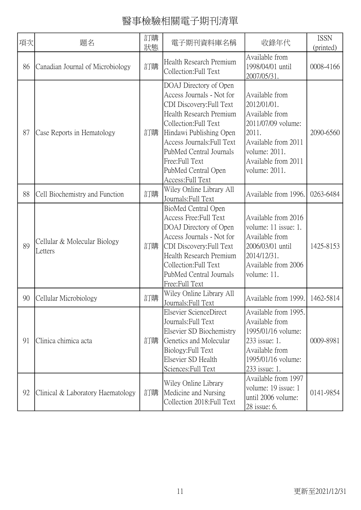| 項次 | 題名                                      | 訂購<br>狀態 | 電子期刊資料庫名稱                                                                                                                                                                                                                                                                             | 收錄年代                                                                                                                                                           | <b>ISSN</b><br>(printed) |
|----|-----------------------------------------|----------|---------------------------------------------------------------------------------------------------------------------------------------------------------------------------------------------------------------------------------------------------------------------------------------|----------------------------------------------------------------------------------------------------------------------------------------------------------------|--------------------------|
| 86 | Canadian Journal of Microbiology        | 訂購       | Health Research Premium<br>Collection: Full Text                                                                                                                                                                                                                                      | Available from<br>1998/04/01 until<br>2007/05/31.                                                                                                              | 0008-4166                |
| 87 | Case Reports in Hematology              | 訂購       | DOAJ Directory of Open<br>Access Journals - Not for<br>CDI Discovery: Full Text<br>Health Research Premium<br>Collection: Full Text<br>Hindawi Publishing Open<br>Access Journals: Full Text<br>PubMed Central Journals<br>Free:Full Text<br>PubMed Central Open<br>Access: Full Text | Available from<br>2012/01/01.<br>Available from<br>2011/07/09 volume:<br>2011.<br>Available from 2011<br>volume: 2011.<br>Available from 2011<br>volume: 2011. | 2090-6560                |
| 88 | Cell Biochemistry and Function          | 訂購       | Wiley Online Library All<br>Journals: Full Text                                                                                                                                                                                                                                       | Available from 1996.                                                                                                                                           | 0263-6484                |
| 89 | Cellular & Molecular Biology<br>Letters | 訂購       | BioMed Central Open<br>Access Free: Full Text<br>DOAJ Directory of Open<br>Access Journals - Not for<br>CDI Discovery: Full Text<br>Health Research Premium<br>Collection: Full Text<br>PubMed Central Journals<br>Free:Full Text                                                     | Available from 2016<br>volume: 11 issue: 1.<br>Available from<br>2006/03/01 until<br>2014/12/31.<br>Available from 2006<br>volume: 11.                         | 1425-8153                |
| 90 | Cellular Microbiology                   | 訂購       | Wiley Online Library All<br>Journals: Full Text                                                                                                                                                                                                                                       | Available from 1999.                                                                                                                                           | 1462-5814                |
| 91 | Clinica chimica acta                    | 訂購       | Elsevier ScienceDirect<br>Journals: Full Text<br>Elsevier SD Biochemistry<br>Genetics and Molecular<br>Biology: Full Text<br>Elsevier SD Health<br>Sciences: Full Text                                                                                                                | Available from 1995.<br>Available from<br>1995/01/16 volume:<br>233 issue: 1.<br>Available from<br>1995/01/16 volume:<br>233 issue: 1.                         | 0009-8981                |
| 92 | Clinical & Laboratory Haematology       | 訂購       | Wiley Online Library<br>Medicine and Nursing<br>Collection 2018: Full Text                                                                                                                                                                                                            | Available from 1997<br>volume: 19 issue: 1<br>until 2006 volume:<br>28 issue: 6.                                                                               | 0141-9854                |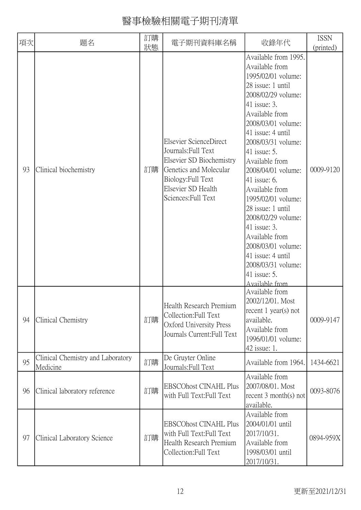| 項次 | 題名                                            | 訂購<br>狀態 | 電子期刊資料庫名稱                                                                                                                                                              | 收錄年代                                                                                                                                                                                                                                                                                                                                                                                                                                                                                                               | <b>ISSN</b><br>(printed) |
|----|-----------------------------------------------|----------|------------------------------------------------------------------------------------------------------------------------------------------------------------------------|--------------------------------------------------------------------------------------------------------------------------------------------------------------------------------------------------------------------------------------------------------------------------------------------------------------------------------------------------------------------------------------------------------------------------------------------------------------------------------------------------------------------|--------------------------|
| 93 | Clinical biochemistry                         | 訂購       | Elsevier ScienceDirect<br>Journals: Full Text<br>Elsevier SD Biochemistry<br>Genetics and Molecular<br>Biology: Full Text<br>Elsevier SD Health<br>Sciences: Full Text | Available from 1995.<br>Available from<br>1995/02/01 volume:<br>28 issue: 1 until<br>2008/02/29 volume:<br>41 issue: 3.<br>Available from<br>2008/03/01 volume:<br>$41$ issue: 4 until<br>2008/03/31 volume:<br>41 issue: 5.<br>Available from<br>2008/04/01 volume:<br>41 issue: $6$ .<br>Available from<br>1995/02/01 volume:<br>28 issue: 1 until<br>2008/02/29 volume:<br>41 issue: 3.<br>Available from<br>2008/03/01 volume:<br>41 issue: 4 until<br>2008/03/31 volume:<br>41 issue: $5$ .<br>Available from | 0009-9120                |
| 94 | Clinical Chemistry                            | 訂購       | Health Research Premium<br>Collection: Full Text<br>Oxford University Press<br>Journals Current: Full Text                                                             | Available from<br>2002/12/01. Most<br>recent $1$ year(s) not<br>available.<br>Available from<br>1996/01/01 volume:<br>42 issue: 1.                                                                                                                                                                                                                                                                                                                                                                                 | 0009-9147                |
| 95 | Clinical Chemistry and Laboratory<br>Medicine | 訂購       | De Gruyter Online<br>Journals: Full Text                                                                                                                               | Available from 1964.                                                                                                                                                                                                                                                                                                                                                                                                                                                                                               | 1434-6621                |
| 96 | Clinical laboratory reference                 | 訂購       | <b>EBSCOhost CINAHL Plus</b><br>with Full Text: Full Text                                                                                                              | Available from<br>2007/08/01. Most<br>recent $3$ month(s) not<br>available.                                                                                                                                                                                                                                                                                                                                                                                                                                        | 0093-8076                |
| 97 | Clinical Laboratory Science                   | 訂購       | <b>EBSCOhost CINAHL Plus</b><br>with Full Text: Full Text<br>Health Research Premium<br>Collection: Full Text                                                          | Available from<br>2004/01/01 until<br>2017/10/31.<br>Available from<br>1998/03/01 until<br>2017/10/31.                                                                                                                                                                                                                                                                                                                                                                                                             | 0894-959X                |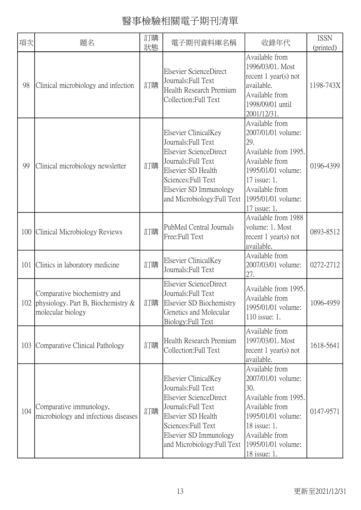| 項次  | 題名                                                                                             | 訂購<br>狀態 | 電子期刊資料庫名稱                                                                                                                                                                                          | 收錄年代                                                                                                                                                                                | <b>ISSN</b><br>(printed) |
|-----|------------------------------------------------------------------------------------------------|----------|----------------------------------------------------------------------------------------------------------------------------------------------------------------------------------------------------|-------------------------------------------------------------------------------------------------------------------------------------------------------------------------------------|--------------------------|
| 98  | Clinical microbiology and infection                                                            | 訂購       | Elsevier ScienceDirect<br>Journals: Full Text<br>Health Research Premium<br>Collection: Full Text                                                                                                  | Available from<br>1996/03/01. Most<br>recent $1$ year(s) not<br>available.<br>Available from<br>1998/09/01 until<br>2001/12/31.                                                     | 1198-743X                |
| 99  | Clinical microbiology newsletter                                                               | 訂購       | Elsevier ClinicalKey<br>Journals: Full Text<br>Elsevier ScienceDirect<br>Journals: Full Text<br>Elsevier SD Health<br>Sciences: Full Text<br>Elsevier SD Immunology<br>and Microbiology: Full Text | Available from<br>2007/01/01 volume:<br>29.<br>Available from 1995.<br>Available from<br>1995/01/01 volume:<br>17 issue: 1.<br>Available from<br>1995/01/01 volume:<br>17 issue: 1. | 0196-4399                |
|     | 100 Clinical Microbiology Reviews                                                              | 訂購       | PubMed Central Journals<br>Free:Full Text                                                                                                                                                          | Available from 1988<br>volume: 1. Most<br>recent $1$ year(s) not<br>available.                                                                                                      | 0893-8512                |
| 101 | Clinics in laboratory medicine                                                                 | 訂購       | Elsevier ClinicalKey<br>Journals: Full Text                                                                                                                                                        | Available from<br>2007/03/01 volume:<br>27.                                                                                                                                         | 0272-2712                |
|     | Comparative biochemistry and<br>102 physiology. Part B, Biochemistry $\&$<br>molecular biology |          | Elsevier ScienceDirect<br>Journals: Full Text<br>訂購 Elsevier SD Biochemistry<br>Genetics and Molecular<br>Biology: Full Text                                                                       | Available from 1995.<br>Available from<br>1995/01/01 volume:<br>110 issue: 1.                                                                                                       | 1096-4959                |
| 103 | Comparative Clinical Pathology                                                                 | 訂購       | Health Research Premium<br>Collection: Full Text                                                                                                                                                   | Available from<br>1997/03/01. Most<br>recent $1$ year(s) not<br>available.                                                                                                          | 1618-5641                |
| 104 | Comparative immunology,<br>microbiology and infectious diseases                                | 訂購       | Elsevier ClinicalKey<br>Journals: Full Text<br>Elsevier ScienceDirect<br>Journals: Full Text<br>Elsevier SD Health<br>Sciences: Full Text<br>Elsevier SD Immunology<br>and Microbiology: Full Text | Available from<br>2007/01/01 volume:<br>30.<br>Available from 1995.<br>Available from<br>1995/01/01 volume:<br>18 issue: 1.<br>Available from<br>1995/01/01 volume:<br>18 issue: 1. | 0147-9571                |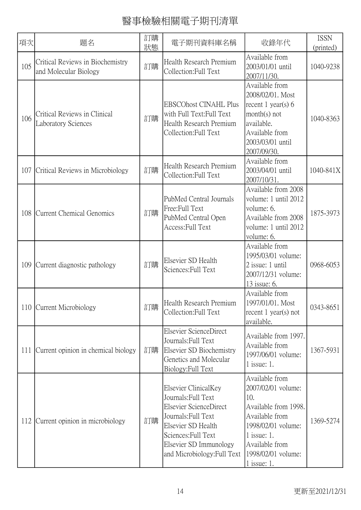| 項次  | 題名                                                         | 訂購<br>狀態 | 電子期刊資料庫名稱                                                                                                                                                                                          | 收錄年代                                                                                                                                                                                  | <b>ISSN</b><br>(printed) |
|-----|------------------------------------------------------------|----------|----------------------------------------------------------------------------------------------------------------------------------------------------------------------------------------------------|---------------------------------------------------------------------------------------------------------------------------------------------------------------------------------------|--------------------------|
| 105 | Critical Reviews in Biochemistry<br>and Molecular Biology  | 訂購       | Health Research Premium<br>Collection: Full Text                                                                                                                                                   | Available from<br>2003/01/01 until<br>2007/11/30.                                                                                                                                     | 1040-9238                |
| 106 | Critical Reviews in Clinical<br><b>Laboratory Sciences</b> | 訂購       | <b>EBSCOhost CINAHL Plus</b><br>with Full Text:Full Text<br>Health Research Premium<br>Collection: Full Text                                                                                       | Available from<br>2008/02/01. Most<br>recent 1 year(s) $6$<br>$month(s)$ not<br>available.<br>Available from<br>2003/03/01 until<br>2007/09/30.                                       | 1040-8363                |
| 107 | Critical Reviews in Microbiology                           | 訂購       | Health Research Premium<br>Collection: Full Text                                                                                                                                                   | Available from<br>2003/04/01 until<br>2007/10/31.                                                                                                                                     | 1040-841X                |
| 108 | Current Chemical Genomics                                  | 訂購       | PubMed Central Journals<br>Free:Full Text<br>PubMed Central Open<br>Access: Full Text                                                                                                              | Available from 2008<br>volume: 1 until 2012<br>volume: 6.<br>Available from 2008<br>volume: 1 until 2012<br>volume: 6.                                                                | 1875-3973                |
| 109 | Current diagnostic pathology                               | 訂購       | Elsevier SD Health<br>Sciences: Full Text                                                                                                                                                          | Available from<br>1995/03/01 volume:<br>2 issue: 1 until<br>2007/12/31 volume:<br>13 issue: 6.                                                                                        | 0968-6053                |
|     | 110 Current Microbiology                                   | 訂購       | Health Research Premium<br>Collection: Full Text                                                                                                                                                   | Available from<br>1997/01/01. Most<br>recent $1$ year(s) not<br>available.                                                                                                            | 0343-8651                |
| 111 | Current opinion in chemical biology                        | 訂購       | Elsevier ScienceDirect<br>Journals: Full Text<br>Elsevier SD Biochemistry<br>Genetics and Molecular<br>Biology: Full Text                                                                          | Available from 1997.<br>Available from<br>1997/06/01 volume:<br>$1$ issue: 1.                                                                                                         | 1367-5931                |
| 112 | Current opinion in microbiology                            | 訂購       | Elsevier ClinicalKey<br>Journals: Full Text<br>Elsevier ScienceDirect<br>Journals: Full Text<br>Elsevier SD Health<br>Sciences: Full Text<br>Elsevier SD Immunology<br>and Microbiology: Full Text | Available from<br>2007/02/01 volume:<br>10.<br>Available from 1998.<br>Available from<br>1998/02/01 volume:<br>$1$ issue: 1.<br>Available from<br>1998/02/01 volume:<br>$1$ issue: 1. | 1369-5274                |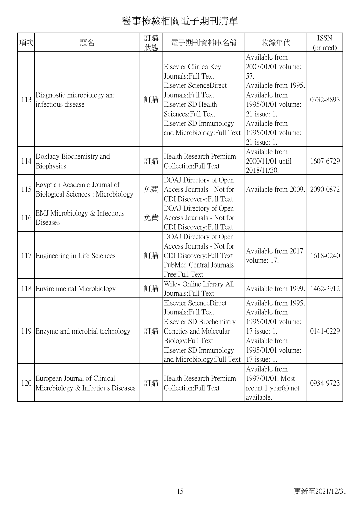| 項次  | 題名                                                                 | 訂購<br>狀態 | 電子期刊資料庫名稱                                                                                                                                                                                          | 收錄年代                                                                                                                                                                                  | <b>ISSN</b><br>(printed) |
|-----|--------------------------------------------------------------------|----------|----------------------------------------------------------------------------------------------------------------------------------------------------------------------------------------------------|---------------------------------------------------------------------------------------------------------------------------------------------------------------------------------------|--------------------------|
| 113 | Diagnostic microbiology and<br>infectious disease                  | 訂購       | Elsevier ClinicalKey<br>Journals: Full Text<br>Elsevier ScienceDirect<br>Journals: Full Text<br>Elsevier SD Health<br>Sciences: Full Text<br>Elsevier SD Immunology<br>and Microbiology: Full Text | Available from<br>2007/01/01 volume:<br>57.<br>Available from 1995.<br>Available from<br>1995/01/01 volume:<br>21 issue: 1.<br>Available from<br>1995/01/01 volume:<br>$21$ issue: 1. | 0732-8893                |
| 114 | Doklady Biochemistry and<br>Biophysics                             | 訂購       | Health Research Premium<br>Collection:Full Text                                                                                                                                                    | Available from<br>2000/11/01 until<br>2018/11/30.                                                                                                                                     | 1607-6729                |
| 115 | Egyptian Academic Journal of<br>Biological Sciences: Microbiology  | 免費       | DOAJ Directory of Open<br>Access Journals - Not for<br>CDI Discovery: Full Text                                                                                                                    | Available from 2009.                                                                                                                                                                  | 2090-0872                |
| 116 | EMJ Microbiology & Infectious<br>Diseases                          | 免費       | DOAJ Directory of Open<br>Access Journals - Not for<br>CDI Discovery: Full Text                                                                                                                    |                                                                                                                                                                                       |                          |
| 117 | Engineering in Life Sciences                                       | 訂購       | DOAJ Directory of Open<br>Access Journals - Not for<br>CDI Discovery: Full Text<br>PubMed Central Journals<br>Free:Full Text                                                                       | Available from 2017<br>volume: 17.                                                                                                                                                    | 1618-0240                |
| 118 | Environmental Microbiology                                         | 訂購       | Wiley Online Library All<br>Journals: Full Text                                                                                                                                                    | Available from 1999.                                                                                                                                                                  | 1462-2912                |
| 119 | Enzyme and microbial technology                                    | 訂購       | Elsevier ScienceDirect<br>Journals: Full Text<br>Elsevier SD Biochemistry<br>Genetics and Molecular<br>Biology: Full Text<br>Elsevier SD Immunology<br>and Microbiology: Full Text                 | Available from 1995.<br>Available from<br>1995/01/01 volume:<br>17 issue: 1.<br>Available from<br>1995/01/01 volume:<br>17 issue: 1.                                                  | 0141-0229                |
| 120 | European Journal of Clinical<br>Microbiology & Infectious Diseases | 訂購       | Health Research Premium<br>Collection: Full Text                                                                                                                                                   | Available from<br>1997/01/01. Most<br>recent $1$ year(s) not<br>available.                                                                                                            | 0934-9723                |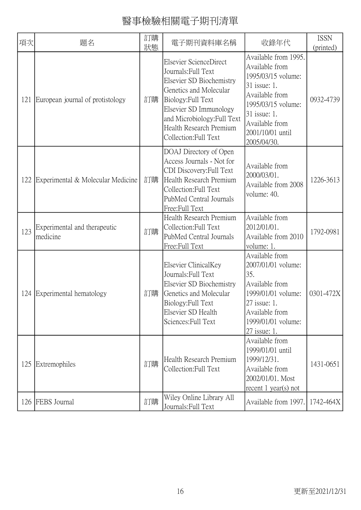| 項次  | 題名                                       | 訂購<br>狀態 | 電子期刊資料庫名稱                                                                                                                                                                                                                              | 收錄年代                                                                                                                                                                                      | <b>ISSN</b><br>(printed) |
|-----|------------------------------------------|----------|----------------------------------------------------------------------------------------------------------------------------------------------------------------------------------------------------------------------------------------|-------------------------------------------------------------------------------------------------------------------------------------------------------------------------------------------|--------------------------|
| 121 | European journal of protistology         | 訂購       | Elsevier ScienceDirect<br>Journals: Full Text<br>Elsevier SD Biochemistry<br>Genetics and Molecular<br>Biology: Full Text<br>Elsevier SD Immunology<br>and Microbiology: Full Text<br>Health Research Premium<br>Collection: Full Text | Available from 1995.<br>Available from<br>1995/03/15 volume:<br>31 issue: 1.<br>Available from<br>1995/03/15 volume:<br>31 issue: 1.<br>Available from<br>2001/10/01 until<br>2005/04/30. | 0932-4739                |
| 122 | Experimental & Molecular Medicine        | 訂購       | DOAJ Directory of Open<br>Access Journals - Not for<br>CDI Discovery: Full Text<br>Health Research Premium<br>Collection: Full Text<br>PubMed Central Journals<br>Free:Full Text                                                       | Available from<br>2000/03/01.<br>Available from 2008<br>volume: 40.                                                                                                                       | 1226-3613                |
| 123 | Experimental and therapeutic<br>medicine | 訂購       | Health Research Premium<br>Collection: Full Text<br>PubMed Central Journals<br>Free:Full Text                                                                                                                                          | Available from<br>2012/01/01.<br>Available from 2010<br>volume: 1.                                                                                                                        | 1792-0981                |
| 124 | Experimental hematology                  | 訂購       | Elsevier ClinicalKey<br>Journals: Full Text<br>Elsevier SD Biochemistry<br>Genetics and Molecular<br>Biology: Full Text<br>Elsevier SD Health<br>Sciences: Full Text                                                                   | Available from<br>2007/01/01 volume:<br>35.<br>Available from<br>1999/01/01 volume:<br>$27$ issue: 1<br>Available from<br>1999/01/01 volume:<br>27 issue: 1.                              | 0301-472X                |
| 125 | Extremophiles                            | 訂購       | Health Research Premium<br>Collection: Full Text                                                                                                                                                                                       | Available from<br>1999/01/01 until<br>1999/12/31.<br>Available from<br>2002/01/01. Most<br>recent $1$ year(s) not                                                                         | 1431-0651                |
|     | 126 FEBS Journal                         | 訂購       | Wiley Online Library All<br>Journals: Full Text                                                                                                                                                                                        | Available from 1997.                                                                                                                                                                      | 1742-464X                |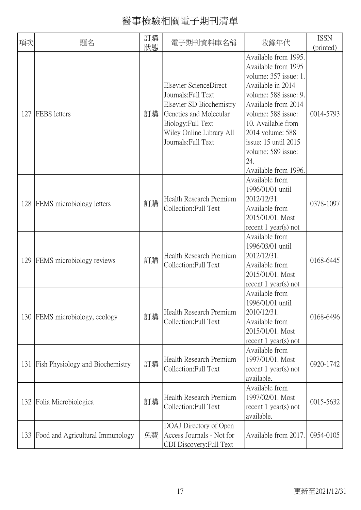| 項次  | 題名                                      | 訂購<br>狀態 | 電子期刊資料庫名稱                                                                                                                                                                    | 收錄年代                                                                                                                                                                                                                                                                                   | <b>ISSN</b><br>(printed) |
|-----|-----------------------------------------|----------|------------------------------------------------------------------------------------------------------------------------------------------------------------------------------|----------------------------------------------------------------------------------------------------------------------------------------------------------------------------------------------------------------------------------------------------------------------------------------|--------------------------|
| 127 | FEBS letters                            | 訂購       | Elsevier ScienceDirect<br>Journals: Full Text<br>Elsevier SD Biochemistry<br>Genetics and Molecular<br>Biology: Full Text<br>Wiley Online Library All<br>Journals: Full Text | Available from 1995.<br>Available from 1995<br>volume: 357 issue: 1.<br>Available in 2014<br>volume: 588 issue: 9.<br>Available from 2014<br>volume: 588 issue:<br>10. Available from<br>2014 volume: 588<br>issue: 15 until 2015<br>volume: 589 issue:<br>24.<br>Available from 1996. | 0014-5793                |
| 128 | <b>FEMS</b> microbiology letters        | 訂購       | Health Research Premium<br>Collection: Full Text                                                                                                                             | Available from<br>1996/01/01 until<br>2012/12/31.<br>Available from<br>2015/01/01. Most<br>recent $1$ year(s) not                                                                                                                                                                      | 0378-1097                |
| 129 | FEMS microbiology reviews               | 訂購       | Health Research Premium<br>Collection: Full Text                                                                                                                             | Available from<br>1996/03/01 until<br>2012/12/31.<br>Available from<br>2015/01/01. Most<br>recent $1$ year(s) not                                                                                                                                                                      | 0168-6445                |
| 130 | FEMS microbiology, ecology              | 訂購       | Health Research Premium<br>Collection: Full Text                                                                                                                             | Available from<br>1996/01/01 until<br>2010/12/31.<br>Available from<br>2015/01/01. Most<br>recent $1$ year(s) not                                                                                                                                                                      | 0168-6496                |
| 131 | <b>Fish Physiology and Biochemistry</b> | 訂購       | Health Research Premium<br>Collection: Full Text                                                                                                                             | Available from<br>1997/01/01. Most<br>recent $1$ year(s) not<br>available.                                                                                                                                                                                                             | 0920-1742                |
|     | 132 Folia Microbiologica                | 訂購       | Health Research Premium<br>Collection: Full Text                                                                                                                             | Available from<br>1997/02/01. Most<br>recent $1$ year(s) not<br>available.                                                                                                                                                                                                             | 0015-5632                |
| 133 | Food and Agricultural Immunology        | 免費       | DOAJ Directory of Open<br>Access Journals - Not for<br>CDI Discovery: Full Text                                                                                              | Available from 2017.                                                                                                                                                                                                                                                                   | 0954-0105                |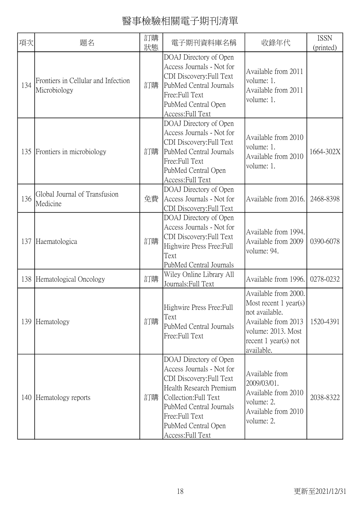| 項次  | 題名                                                  | 訂購<br>狀態 | 電子期刊資料庫名稱                                                                                                                                                                                                                    | 收錄年代                                                                                                                                                   | <b>ISSN</b><br>(printed) |
|-----|-----------------------------------------------------|----------|------------------------------------------------------------------------------------------------------------------------------------------------------------------------------------------------------------------------------|--------------------------------------------------------------------------------------------------------------------------------------------------------|--------------------------|
| 134 | Frontiers in Cellular and Infection<br>Microbiology | 訂購       | DOAJ Directory of Open<br>Access Journals - Not for<br>CDI Discovery: Full Text<br>PubMed Central Journals<br>Free:Full Text<br>PubMed Central Open<br>Access: Full Text                                                     | Available from 2011<br>volume: 1.<br>Available from 2011<br>volume: 1.                                                                                 |                          |
| 135 | Frontiers in microbiology                           | 訂購       | DOAJ Directory of Open<br>Access Journals - Not for<br>CDI Discovery: Full Text<br>PubMed Central Journals<br>Free: Full Text<br>PubMed Central Open<br>Access: Full Text                                                    | Available from 2010<br>volume: 1.<br>Available from 2010<br>volume: 1.                                                                                 | 1664-302X                |
| 136 | Global Journal of Transfusion<br>Medicine           | 免費       | DOAJ Directory of Open<br>Access Journals - Not for<br>CDI Discovery: Full Text                                                                                                                                              | Available from 2016.                                                                                                                                   | 2468-8398                |
| 137 | Haematologica                                       | 訂購       | DOAJ Directory of Open<br>Access Journals - Not for<br>CDI Discovery: Full Text<br>Highwire Press Free: Full<br>Text<br>PubMed Central Journals                                                                              | Available from 1994.<br>Available from 2009<br>volume: 94.                                                                                             | 0390-6078                |
|     | 138 Hematological Oncology                          | 訂購       | Wiley Online Library All<br>Journals: Full Text                                                                                                                                                                              | Available from 1996.                                                                                                                                   | 0278-0232                |
| 139 | Hematology                                          | 訂購       | Highwire Press Free: Full<br>Text<br>PubMed Central Journals<br>Free:Full Text                                                                                                                                               | Available from 2000.<br>Most recent $1$ year(s)<br>not available.<br>Available from 2013<br>volume: 2013. Most<br>recent $1$ year(s) not<br>available. | 1520-4391                |
| 140 | Hematology reports                                  | 訂購       | DOAJ Directory of Open<br>Access Journals - Not for<br>CDI Discovery: Full Text<br>Health Research Premium<br>Collection: Full Text<br>PubMed Central Journals<br>Free:Full Text<br>PubMed Central Open<br>Access: Full Text | Available from<br>2009/03/01.<br>Available from 2010<br>volume: 2.<br>Available from 2010<br>volume: 2.                                                | 2038-8322                |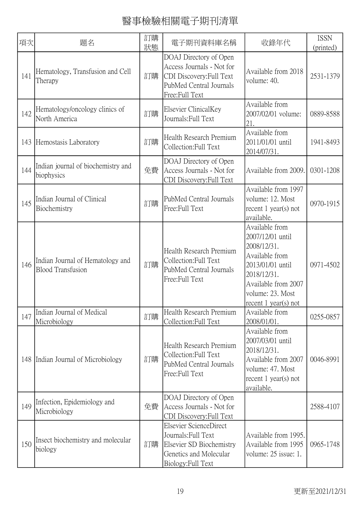| 項次  | 題名                                                           | 訂購<br>狀態 | 電子期刊資料庫名稱                                                                                                                    | 收錄年代                                                                                                                                                                        | <b>ISSN</b><br>(printed) |
|-----|--------------------------------------------------------------|----------|------------------------------------------------------------------------------------------------------------------------------|-----------------------------------------------------------------------------------------------------------------------------------------------------------------------------|--------------------------|
| 141 | Hematology, Transfusion and Cell<br>Therapy                  | 訂購       | DOAJ Directory of Open<br>Access Journals - Not for<br>CDI Discovery: Full Text<br>PubMed Central Journals<br>Free:Full Text | Available from 2018<br>volume: 40.                                                                                                                                          | 2531-1379                |
| 142 | Hematology/oncology clinics of<br>North America              | 訂購       | Elsevier ClinicalKey<br>Journals: Full Text                                                                                  | Available from<br>2007/02/01 volume:<br>21.                                                                                                                                 | 0889-8588                |
| 143 | Hemostasis Laboratory                                        | 訂購       | Health Research Premium<br>Collection: Full Text                                                                             | Available from<br>2011/01/01 until<br>2014/07/31.                                                                                                                           | 1941-8493                |
| 144 | Indian journal of biochemistry and<br>biophysics             | 免費       | DOAJ Directory of Open<br>Access Journals - Not for<br>CDI Discovery: Full Text                                              | Available from 2009.                                                                                                                                                        | 0301-1208                |
| 145 | Indian Journal of Clinical<br>Biochemistry                   | 訂購       | PubMed Central Journals<br>Free:Full Text                                                                                    | Available from 1997<br>volume: 12. Most<br>recent $1$ year(s) not<br>available.                                                                                             | 0970-1915                |
| 146 | Indian Journal of Hematology and<br><b>Blood Transfusion</b> | 訂購       | Health Research Premium<br>Collection: Full Text<br>PubMed Central Journals<br>Free:Full Text                                | Available from<br>2007/12/01 until<br>2008/12/31.<br>Available from<br>2013/01/01 until<br>2018/12/31.<br>Available from 2007<br>volume: 23. Most<br>recent $1$ year(s) not | 0971-4502                |
| 147 | Indian Journal of Medical<br>Microbiology                    | 訂購       | Health Research Premium<br>Collection: Full Text                                                                             | Available from<br>2008/01/01.                                                                                                                                               | 0255-0857                |
| 148 | Indian Journal of Microbiology                               | 訂購       | Health Research Premium<br>Collection: Full Text<br>PubMed Central Journals<br>Free:Full Text                                | Available from<br>2007/03/01 until<br>2018/12/31.<br>Available from 2007<br>volume: 47. Most<br>recent $1$ year(s) not<br>available.                                        | 0046-8991                |
| 149 | Infection, Epidemiology and<br>Microbiology                  | 免費       | DOAJ Directory of Open<br>Access Journals - Not for<br>CDI Discovery: Full Text                                              |                                                                                                                                                                             | 2588-4107                |
| 150 | Insect biochemistry and molecular<br>biology                 | 訂購       | Elsevier ScienceDirect<br>Journals: Full Text<br>Elsevier SD Biochemistry<br>Genetics and Molecular<br>Biology: Full Text    | Available from 1995.<br>Available from 1995<br>volume: 25 issue: 1.                                                                                                         | 0965-1748                |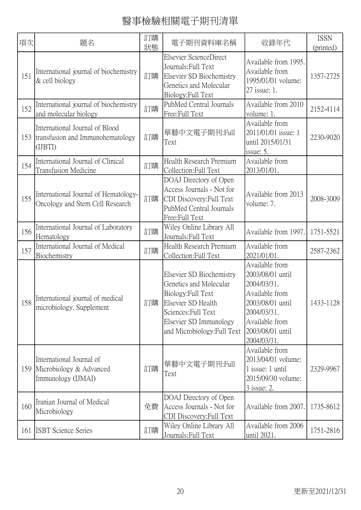| 項次  | 題名                                                                            | 訂購<br>狀態 | 電子期刊資料庫名稱                                                                                                                                                                      | 收錄年代                                                                                                                                                        | <b>ISSN</b><br>(printed) |
|-----|-------------------------------------------------------------------------------|----------|--------------------------------------------------------------------------------------------------------------------------------------------------------------------------------|-------------------------------------------------------------------------------------------------------------------------------------------------------------|--------------------------|
| 151 | International journal of biochemistry<br>& cell biology                       | 訂購       | Elsevier ScienceDirect<br>Journals: Full Text<br>Elsevier SD Biochemistry<br>Genetics and Molecular<br>Biology: Full Text                                                      | Available from 1995.<br>Available from<br>1995/01/01 volume:<br>27 issue: 1.                                                                                | 1357-2725                |
| 152 | International journal of biochemistry<br>and molecular biology                | 訂購       | PubMed Central Journals<br>Free:Full Text                                                                                                                                      | Available from 2010<br>volume: 1.                                                                                                                           | 2152-4114                |
| 153 | International Journal of Blood<br>transfusion and Immunohematology<br>(IJBTI) | 訂購       | 華藝中文電子期刊:Full<br>Text                                                                                                                                                          | Available from<br>2011/01/01 issue: 1<br>until 2015/01/31<br>issue: 5.                                                                                      | 2230-9020                |
| 154 | International Journal of Clinical<br><b>Transfusion Medicine</b>              | 訂購       | Health Research Premium<br>Collection: Full Text                                                                                                                               | Available from<br>2013/01/01.                                                                                                                               |                          |
| 155 | International Journal of Hematology-<br>Oncology and Stem Cell Research       | 訂購       | DOAJ Directory of Open<br>Access Journals - Not for<br>CDI Discovery: Full Text<br>PubMed Central Journals<br>Free:Full Text                                                   | Available from 2013<br>volume: 7.                                                                                                                           | 2008-3009                |
| 156 | International Journal of Laboratory<br>Hematology                             | 訂購       | Wiley Online Library All<br>Journals: Full Text                                                                                                                                | Available from 1997.                                                                                                                                        | 1751-5521                |
| 157 | International Journal of Medical<br>Biochemistry                              | 訂購       | Health Research Premium<br>Collection: Full Text                                                                                                                               | Available from<br>2021/01/01.                                                                                                                               | 2587-2362                |
|     | 158 International journal of medical<br>microbiology. Supplement              | 訂購       | Elsevier SD Biochemistry<br>Genetics and Molecular<br>Biology: Full Text<br>Elsevier SD Health<br>Sciences: Full Text<br>Elsevier SD Immunology<br>and Microbiology: Full Text | Available from<br>2003/08/01 until<br>2004/03/31.<br>Available from<br>2003/08/01 until<br>2004/03/31.<br>Available from<br>2003/08/01 until<br>2004/03/31. | 1433-1128                |
| 159 | International Journal of<br>Microbiology & Advanced<br>Immunology (IJMAI)     | 訂購       | 華藝中文電子期刊:Full<br>Text                                                                                                                                                          | Available from<br>2013/04/01 volume:<br>1 issue: 1 until<br>2015/09/30 volume:<br>3 issue: 2.                                                               | 2329-9967                |
| 160 | Iranian Journal of Medical<br>Microbiology                                    | 免費       | DOAJ Directory of Open<br>Access Journals - Not for<br>CDI Discovery: Full Text                                                                                                | Available from 2007.                                                                                                                                        | 1735-8612                |
| 161 | <b>ISBT</b> Science Series                                                    | 訂購       | Wiley Online Library All<br>Journals: Full Text                                                                                                                                | Available from 2006<br>until 2021.                                                                                                                          | 1751-2816                |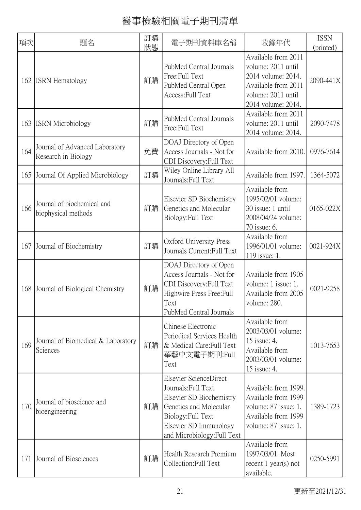| 項次  | 題名                                                    | 訂購<br>狀態 | 電子期刊資料庫名稱                                                                                                                                                                          | 收錄年代                                                                                                                               | <b>ISSN</b><br>(printed) |
|-----|-------------------------------------------------------|----------|------------------------------------------------------------------------------------------------------------------------------------------------------------------------------------|------------------------------------------------------------------------------------------------------------------------------------|--------------------------|
| 162 | <b>ISRN</b> Hematology                                | 訂購       | PubMed Central Journals<br>Free:Full Text<br>PubMed Central Open<br>Access: Full Text                                                                                              | Available from 2011<br>volume: 2011 until<br>2014 volume: 2014.<br>Available from 2011<br>volume: 2011 until<br>2014 volume: 2014. | 2090-441X                |
| 163 | <b>ISRN</b> Microbiology                              | 訂購       | PubMed Central Journals<br>Free:Full Text                                                                                                                                          | Available from 2011<br>volume: 2011 until<br>2014 volume: 2014.                                                                    | 2090-7478                |
| 164 | Journal of Advanced Laboratory<br>Research in Biology | 免費       | DOAJ Directory of Open<br>Access Journals - Not for<br>CDI Discovery: Full Text                                                                                                    | Available from 2010.                                                                                                               | 0976-7614                |
| 165 | Journal Of Applied Microbiology                       | 訂購       | Wiley Online Library All<br>Journals: Full Text                                                                                                                                    | Available from 1997.                                                                                                               | 1364-5072                |
| 166 | Journal of biochemical and<br>biophysical methods     | 訂購       | Elsevier SD Biochemistry<br>Genetics and Molecular<br>Biology: Full Text                                                                                                           | Available from<br>1995/02/01 volume:<br>30 issue: 1 until<br>2008/04/24 volume:<br>70 issue: 6.                                    | 0165-022X                |
| 167 | Journal of Biochemistry                               | 訂購       | Oxford University Press<br>Journals Current: Full Text                                                                                                                             | Available from<br>1996/01/01 volume:<br>119 issue: 1.                                                                              | 0021-924X                |
| 168 | Journal of Biological Chemistry                       | 訂購       | DOAJ Directory of Open<br>Access Journals - Not for<br>CDI Discovery: Full Text<br>Highwire Press Free: Full<br>Text<br>PubMed Central Journals                                    | Available from 1905<br>volume: 1 issue: 1.<br>Available from 2005<br>volume: 280.                                                  | 0021-9258                |
| 169 | Journal of Biomedical & Laboratory<br>Sciences        | 訂購       | Chinese Electronic<br>Periodical Services Health<br>& Medical Care: Full Text<br>華藝中文電子期刊:Full<br>Text                                                                             | Available from<br>2003/03/01 volume:<br>15 issue: 4.<br>Available from<br>2003/03/01 volume:<br>15 issue: 4.                       | 1013-7653                |
| 170 | Journal of bioscience and<br>bioengineering           | 訂購       | Elsevier ScienceDirect<br>Journals: Full Text<br>Elsevier SD Biochemistry<br>Genetics and Molecular<br>Biology: Full Text<br>Elsevier SD Immunology<br>and Microbiology: Full Text | Available from 1999.<br>Available from 1999<br>volume: 87 issue: 1.<br>Available from 1999<br>volume: 87 issue: 1.                 | 1389-1723                |
| 171 | Journal of Biosciences                                | 訂購       | Health Research Premium<br>Collection: Full Text                                                                                                                                   | Available from<br>1997/03/01. Most<br>recent 1 year(s) not<br>available.                                                           | 0250-5991                |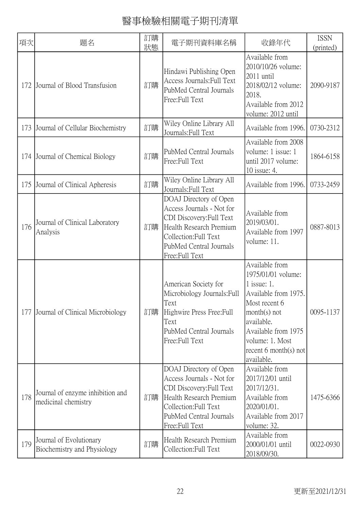| 項次  | 題名                                                      | 訂購<br>狀態 | 電子期刊資料庫名稱                                                                                                                                                                        | 收錄年代                                                                                                                                                                                                                 | <b>ISSN</b><br>(printed) |
|-----|---------------------------------------------------------|----------|----------------------------------------------------------------------------------------------------------------------------------------------------------------------------------|----------------------------------------------------------------------------------------------------------------------------------------------------------------------------------------------------------------------|--------------------------|
| 172 | Journal of Blood Transfusion                            | 訂購       | Hindawi Publishing Open<br>Access Journals: Full Text<br>PubMed Central Journals<br>Free:Full Text                                                                               | Available from<br>2010/10/26 volume:<br>2011 until<br>2018/02/12 volume:<br>2018.<br>Available from 2012<br>volume: 2012 until                                                                                       | 2090-9187                |
| 173 | Journal of Cellular Biochemistry                        | 訂購       | Wiley Online Library All<br>Journals: Full Text                                                                                                                                  | Available from 1996.                                                                                                                                                                                                 | 0730-2312                |
| 174 | Journal of Chemical Biology                             | 訂購       | PubMed Central Journals<br>Free:Full Text                                                                                                                                        | Available from 2008<br>volume: 1 issue: 1<br>until 2017 volume:<br>10 issue: 4.                                                                                                                                      | 1864-6158                |
| 175 | Journal of Clinical Apheresis                           | 訂購       | Wiley Online Library All<br>Journals: Full Text                                                                                                                                  | Available from 1996.                                                                                                                                                                                                 | 0733-2459                |
| 176 | Journal of Clinical Laboratory<br>Analysis              | 訂購       | DOAJ Directory of Open<br>Access Journals - Not for<br>CDI Discovery: Full Text<br>Health Research Premium<br>Collection: Full Text<br>PubMed Central Journals<br>Free:Full Text | Available from<br>2019/03/01.<br>Available from 1997<br>volume: 11.                                                                                                                                                  | 0887-8013                |
| 177 | Journal of Clinical Microbiology                        | 訂購       | American Society for<br>Microbiology Journals: Full<br>Text<br>Highwire Press Free: Full<br>Text<br>PubMed Central Journals<br>Free:Full Text                                    | Available from<br>1975/01/01 volume:<br>$1$ issue: 1.<br>Available from 1975.<br>Most recent 6<br>$month(s)$ not<br>available.<br>Available from 1975<br>volume: 1. Most<br>recent $6$ month $(s)$ not<br>available. | 0095-1137                |
| 178 | Journal of enzyme inhibition and<br>medicinal chemistry | 訂購       | DOAJ Directory of Open<br>Access Journals - Not for<br>CDI Discovery: Full Text<br>Health Research Premium<br>Collection: Full Text<br>PubMed Central Journals<br>Free:Full Text | Available from<br>2017/12/01 until<br>2017/12/31.<br>Available from<br>2020/01/01.<br>Available from 2017<br>volume: 32.                                                                                             | 1475-6366                |
| 179 | Journal of Evolutionary<br>Biochemistry and Physiology  | 訂購       | Health Research Premium<br>Collection: Full Text                                                                                                                                 | Available from<br>2000/01/01 until<br>2018/09/30.                                                                                                                                                                    | 0022-0930                |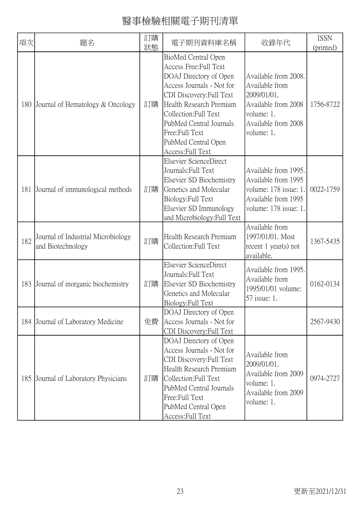| 項次  | 題名                                                      | 訂購<br>狀態 | 電子期刊資料庫名稱                                                                                                                                                                                                                                                                     | 收錄年代                                                                                                                            | <b>ISSN</b><br>(printed) |
|-----|---------------------------------------------------------|----------|-------------------------------------------------------------------------------------------------------------------------------------------------------------------------------------------------------------------------------------------------------------------------------|---------------------------------------------------------------------------------------------------------------------------------|--------------------------|
| 180 | Journal of Hematology & Oncology                        | 訂購       | BioMed Central Open<br>Access Free: Full Text<br>DOAJ Directory of Open<br>Access Journals - Not for<br>CDI Discovery: Full Text<br>Health Research Premium<br>Collection: Full Text<br>PubMed Central Journals<br>Free:Full Text<br>PubMed Central Open<br>Access: Full Text | Available from 2008.<br>Available from<br>2009/01/01.<br>Available from 2008<br>volume: 1.<br>Available from 2008<br>volume: 1. | 1756-8722                |
| 181 | Journal of immunological methods                        | 訂購       | Elsevier ScienceDirect<br>Journals: Full Text<br>Elsevier SD Biochemistry<br>Genetics and Molecular<br>Biology: Full Text<br>Elsevier SD Immunology<br>and Microbiology: Full Text                                                                                            | Available from 1995.<br>Available from 1995<br>volume: 178 issue: 1<br>Available from 1995<br>volume: 178 issue: 1.             | 0022-1759                |
| 182 | Journal of Industrial Microbiology<br>and Biotechnology | 訂購       | Health Research Premium<br>Collection: Full Text                                                                                                                                                                                                                              | Available from<br>1997/01/01. Most<br>recent $1$ year(s) not<br>available.                                                      | 1367-5435                |
| 183 | Journal of inorganic biochemistry                       | 訂購       | Elsevier ScienceDirect<br>Journals: Full Text<br>Elsevier SD Biochemistry<br>Genetics and Molecular<br>Biology: Full Text                                                                                                                                                     | Available from 1995.<br>Available from<br>1995/01/01 volume:<br>57 issue: 1.                                                    | 0162-0134                |
| 184 | Journal of Laboratory Medicine                          | 免費       | DOAJ Directory of Open<br>Access Journals - Not for<br>CDI Discovery: Full Text                                                                                                                                                                                               |                                                                                                                                 | 2567-9430                |
| 185 | Journal of Laboratory Physicians                        | 訂購       | DOAJ Directory of Open<br>Access Journals - Not for<br>CDI Discovery: Full Text<br>Health Research Premium<br>Collection: Full Text<br>PubMed Central Journals<br>Free:Full Text<br>PubMed Central Open<br>Access: Full Text                                                  | Available from<br>2009/01/01.<br>Available from 2009<br>volume: 1.<br>Available from 2009<br>volume: 1.                         | 0974-2727                |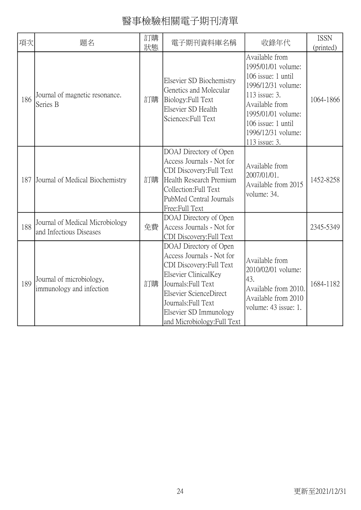| 項次  | 題名                                                         | 訂購<br>狀態 | 電子期刊資料庫名稱                                                                                                                                                                                                                                | 收錄年代                                                                                                                                                                                                   | <b>ISSN</b><br>(printed) |
|-----|------------------------------------------------------------|----------|------------------------------------------------------------------------------------------------------------------------------------------------------------------------------------------------------------------------------------------|--------------------------------------------------------------------------------------------------------------------------------------------------------------------------------------------------------|--------------------------|
| 186 | Journal of magnetic resonance.<br>Series B                 | 訂購       | Elsevier SD Biochemistry<br>Genetics and Molecular<br>Biology: Full Text<br>Elsevier SD Health<br>Sciences: Full Text                                                                                                                    | Available from<br>1995/01/01 volume:<br>106 issue: 1 until<br>1996/12/31 volume:<br>113 issue: 3.<br>Available from<br>1995/01/01 volume:<br>106 issue: 1 until<br>1996/12/31 volume:<br>113 issue: 3. | 1064-1866                |
| 187 | Journal of Medical Biochemistry                            | 訂購       | DOAJ Directory of Open<br>Access Journals - Not for<br>CDI Discovery: Full Text<br>Health Research Premium<br>Collection: Full Text<br>PubMed Central Journals<br>Free:Full Text                                                         | Available from<br>2007/01/01.<br>Available from 2015<br>volume: 34.                                                                                                                                    | 1452-8258                |
| 188 | Journal of Medical Microbiology<br>and Infectious Diseases | 免費       | DOAJ Directory of Open<br>Access Journals - Not for<br>CDI Discovery: Full Text                                                                                                                                                          |                                                                                                                                                                                                        | 2345-5349                |
| 189 | Journal of microbiology,<br>immunology and infection       | 訂購       | DOAJ Directory of Open<br>Access Journals - Not for<br>CDI Discovery: Full Text<br>Elsevier ClinicalKey<br>Journals: Full Text<br>Elsevier ScienceDirect<br>Journals: Full Text<br>Elsevier SD Immunology<br>and Microbiology: Full Text | Available from<br>2010/02/01 volume:<br>43.<br>Available from 2010.<br>Available from 2010<br>volume: 43 issue: 1.                                                                                     | 1684-1182                |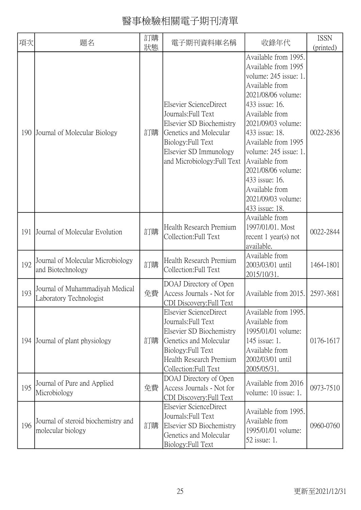| 項次  | 題名                                                         | 訂購<br>狀態 | 電子期刊資料庫名稱                                                                                                                                                                          | 收錄年代                                                                                                                                                                                                                                                                                                                                                         | <b>ISSN</b><br>(printed) |
|-----|------------------------------------------------------------|----------|------------------------------------------------------------------------------------------------------------------------------------------------------------------------------------|--------------------------------------------------------------------------------------------------------------------------------------------------------------------------------------------------------------------------------------------------------------------------------------------------------------------------------------------------------------|--------------------------|
| 190 | Journal of Molecular Biology                               | 訂購       | Elsevier ScienceDirect<br>Journals: Full Text<br>Elsevier SD Biochemistry<br>Genetics and Molecular<br>Biology: Full Text<br>Elsevier SD Immunology<br>and Microbiology: Full Text | Available from 1995.<br>Available from 1995<br>volume: 245 issue: 1.<br>Available from<br>2021/08/06 volume:<br>433 issue: 16.<br>Available from<br>2021/09/03 volume:<br>433 issue: 18.<br>Available from 1995<br>volume: 245 issue: 1.<br>Available from<br>2021/08/06 volume:<br>433 issue: 16.<br>Available from<br>2021/09/03 volume:<br>433 issue: 18. | 0022-2836                |
| 191 | Journal of Molecular Evolution                             | 訂購       | Health Research Premium<br>Collection: Full Text                                                                                                                                   | Available from<br>1997/01/01. Most<br>recent $1$ year(s) not<br>available.                                                                                                                                                                                                                                                                                   | 0022-2844                |
| 192 | Journal of Molecular Microbiology<br>and Biotechnology     | 訂購       | Health Research Premium<br>Collection: Full Text                                                                                                                                   | Available from<br>2003/03/01 until<br>2015/10/31.                                                                                                                                                                                                                                                                                                            | 1464-1801                |
| 193 | Journal of Muhammadiyah Medical<br>Laboratory Technologist | 免費       | DOAJ Directory of Open<br>Access Journals - Not for<br>CDI Discovery: Full Text                                                                                                    | Available from 2015.                                                                                                                                                                                                                                                                                                                                         | 2597-3681                |
| 194 | Journal of plant physiology                                | 訂購       | Elsevier ScienceDirect<br>Journals: Full Text<br>Elsevier SD Biochemistry<br>Genetics and Molecular<br>Biology: Full Text<br>Health Research Premium<br>Collection: Full Text      | Available from 1995.<br>Available from<br>1995/01/01 volume:<br>145 issue: 1.<br>Available from<br>2002/03/01 until<br>2005/05/31.                                                                                                                                                                                                                           | 0176-1617                |
| 195 | Journal of Pure and Applied<br>Microbiology                | 免費       | DOAJ Directory of Open<br>Access Journals - Not for<br>CDI Discovery: Full Text                                                                                                    | Available from 2016<br>volume: 10 issue: 1.                                                                                                                                                                                                                                                                                                                  | 0973-7510                |
| 196 | Journal of steroid biochemistry and<br>molecular biology   | 訂購       | Elsevier ScienceDirect<br>Journals: Full Text<br>Elsevier SD Biochemistry<br>Genetics and Molecular<br>Biology: Full Text                                                          | Available from 1995.<br>Available from<br>1995/01/01 volume:<br>52 issue: 1.                                                                                                                                                                                                                                                                                 | 0960-0760                |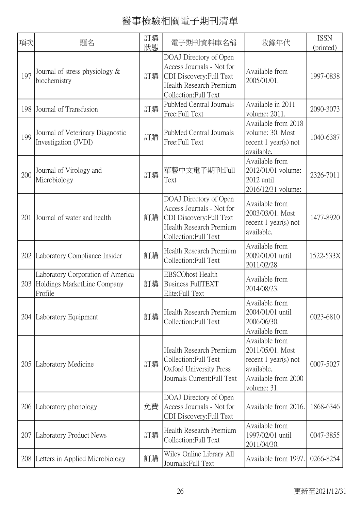| 項次  | 題名                                                                          | 訂購<br>狀態 | 電子期刊資料庫名稱                                                                                                                          | 收錄年代                                                                                                             | <b>ISSN</b><br>(printed) |
|-----|-----------------------------------------------------------------------------|----------|------------------------------------------------------------------------------------------------------------------------------------|------------------------------------------------------------------------------------------------------------------|--------------------------|
| 197 | Journal of stress physiology $\&$<br>biochemistry                           | 訂購       | DOAJ Directory of Open<br>Access Journals - Not for<br>CDI Discovery: Full Text<br>Health Research Premium<br>Collection:Full Text | Available from<br>2005/01/01.                                                                                    | 1997-0838                |
| 198 | Journal of Transfusion                                                      | 訂購       | PubMed Central Journals<br>Free:Full Text                                                                                          | Available in 2011<br>volume: 2011.                                                                               | 2090-3073                |
| 199 | Journal of Veterinary Diagnostic<br>Investigation (JVDI)                    | 訂購       | PubMed Central Journals<br>Free:Full Text                                                                                          | Available from 2018<br>volume: 30. Most<br>recent $1$ year(s) not<br>available.                                  | 1040-6387                |
| 200 | Journal of Virology and<br>Microbiology                                     | 訂購       | 華藝中文電子期刊:Full<br>Text                                                                                                              | Available from<br>2012/01/01 volume:<br>$2012$ until<br>2016/12/31 volume:                                       | 2326-7011                |
| 201 | Journal of water and health                                                 | 訂購       | DOAJ Directory of Open<br>Access Journals - Not for<br>CDI Discovery: Full Text<br>Health Research Premium<br>Collection:Full Text | Available from<br>2003/03/01. Most<br>recent $1$ year(s) not<br>available.                                       | 1477-8920                |
| 202 | Laboratory Compliance Insider                                               | 訂購       | Health Research Premium<br>Collection: Full Text                                                                                   | Available from<br>2009/01/01 until<br>2011/02/28.                                                                | 1522-533X                |
| 203 | Laboratory Corporation of America<br>Holdings MarketLine Company<br>Profile | 訂購       | <b>EBSCOhost Health</b><br><b>Business FullTEXT</b><br>Elite: Full Text                                                            | Available from<br>2014/08/23.                                                                                    |                          |
|     | 204 Laboratory Equipment                                                    | 訂購       | Health Research Premium<br>Collection: Full Text                                                                                   | Available from<br>2004/01/01 until<br>2006/06/30.<br>Available from                                              | 0023-6810                |
| 205 | Laboratory Medicine                                                         | 訂購       | Health Research Premium<br>Collection: Full Text<br>Oxford University Press<br>Journals Current: Full Text                         | Available from<br>2011/05/01. Most<br>recent $1$ year(s) not<br>available.<br>Available from 2000<br>volume: 31. | 0007-5027                |
| 206 | Laboratory phonology                                                        | 免費       | DOAJ Directory of Open<br>Access Journals - Not for<br>CDI Discovery: Full Text                                                    | Available from 2016.                                                                                             | 1868-6346                |
| 207 | Laboratory Product News                                                     | 訂購       | Health Research Premium<br>Collection: Full Text                                                                                   | Available from<br>1997/02/01 until<br>2011/04/30.                                                                | 0047-3855                |
| 208 | Letters in Applied Microbiology                                             | 訂購       | Wiley Online Library All<br>Journals: Full Text                                                                                    | Available from 1997.                                                                                             | 0266-8254                |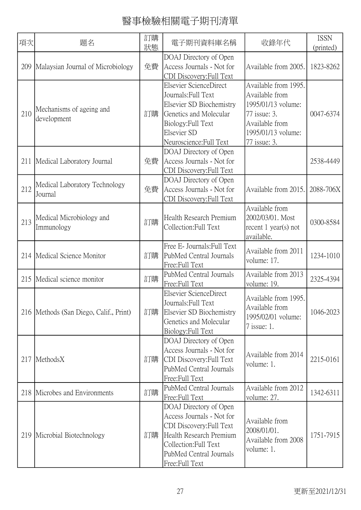| 項次  | 題名                                       | 訂購<br>狀態 | 電子期刊資料庫名稱                                                                                                                                                                        | 收錄年代                                                                                                                                 | <b>ISSN</b><br>(printed) |
|-----|------------------------------------------|----------|----------------------------------------------------------------------------------------------------------------------------------------------------------------------------------|--------------------------------------------------------------------------------------------------------------------------------------|--------------------------|
| 209 | Malaysian Journal of Microbiology        | 免費       | DOAJ Directory of Open<br>Access Journals - Not for<br>CDI Discovery: Full Text                                                                                                  | Available from 2005.                                                                                                                 | 1823-8262                |
| 210 | Mechanisms of ageing and<br>development  | 訂購       | Elsevier ScienceDirect<br>Journals: Full Text<br>Elsevier SD Biochemistry<br>Genetics and Molecular<br>Biology: Full Text<br>Elsevier SD<br>Neuroscience: Full Text              | Available from 1995.<br>Available from<br>1995/01/13 volume:<br>77 issue: 3.<br>Available from<br>1995/01/13 volume:<br>77 issue: 3. | 0047-6374                |
| 211 | Medical Laboratory Journal               | 免費       | DOAJ Directory of Open<br>Access Journals - Not for<br>CDI Discovery: Full Text                                                                                                  |                                                                                                                                      | 2538-4449                |
| 212 | Medical Laboratory Technology<br>Journal | 免費       | DOAJ Directory of Open<br>Access Journals - Not for<br>CDI Discovery: Full Text                                                                                                  | Available from 2015.                                                                                                                 | 2088-706X                |
| 213 | Medical Microbiology and<br>Immunology   | 訂購       | Health Research Premium<br>Collection: Full Text                                                                                                                                 | Available from<br>2002/03/01. Most<br>recent $1$ year(s) not<br>available.                                                           | 0300-8584                |
|     | 214   Medical Science Monitor            | 訂購       | Free E- Journals: Full Text<br>PubMed Central Journals<br>Free:Full Text                                                                                                         | Available from 2011<br>volume: 17.                                                                                                   | 1234-1010                |
| 215 | Medical science monitor                  | 訂購       | PubMed Central Journals<br>Free:Full Text                                                                                                                                        | Available from 2013<br>volume: 19.                                                                                                   | 2325-4394                |
|     | 216 Methods (San Diego, Calif., Print)   | 訂購       | Elsevier ScienceDirect<br>Journals: Full Text<br>Elsevier SD Biochemistry<br>Genetics and Molecular<br>Biology: Full Text                                                        | Available from 1995.<br>Available from<br>1995/02/01 volume:<br>7 issue: 1.                                                          | 1046-2023                |
| 217 | MethodsX                                 | 訂購       | DOAJ Directory of Open<br>Access Journals - Not for<br>CDI Discovery: Full Text<br>PubMed Central Journals<br>Free:Full Text                                                     | Available from 2014<br>volume: 1.                                                                                                    | 2215-0161                |
| 218 | Microbes and Environments                | 訂購       | PubMed Central Journals<br>Free:Full Text                                                                                                                                        | Available from 2012<br>volume: 27.                                                                                                   | 1342-6311                |
| 219 | Microbial Biotechnology                  | 訂購       | DOAJ Directory of Open<br>Access Journals - Not for<br>CDI Discovery: Full Text<br>Health Research Premium<br>Collection: Full Text<br>PubMed Central Journals<br>Free:Full Text | Available from<br>2008/01/01.<br>Available from 2008<br>volume: 1.                                                                   | 1751-7915                |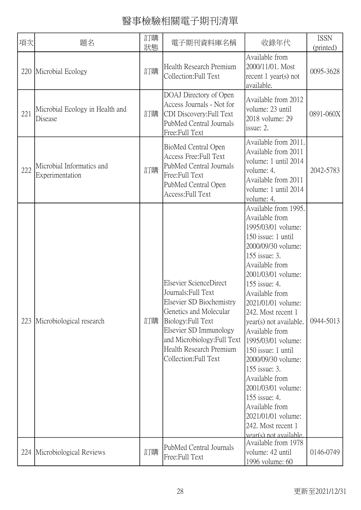| 項次  | 題名                                           | 訂購<br>狀態 | 電子期刊資料庫名稱                                                                                                                                                                                                                              | 收錄年代                                                                                                                                                                                                                                                                                                                                                                                                                                                                                                                             | <b>ISSN</b><br>(printed) |
|-----|----------------------------------------------|----------|----------------------------------------------------------------------------------------------------------------------------------------------------------------------------------------------------------------------------------------|----------------------------------------------------------------------------------------------------------------------------------------------------------------------------------------------------------------------------------------------------------------------------------------------------------------------------------------------------------------------------------------------------------------------------------------------------------------------------------------------------------------------------------|--------------------------|
|     | 220 Microbial Ecology                        | 訂購       | Health Research Premium<br>Collection: Full Text                                                                                                                                                                                       | Available from<br>2000/11/01. Most<br>recent $1$ year(s) not<br>available.                                                                                                                                                                                                                                                                                                                                                                                                                                                       | 0095-3628                |
| 221 | Microbial Ecology in Health and<br>Disease   | 訂購       | DOAJ Directory of Open<br>Access Journals - Not for<br>CDI Discovery: Full Text<br>PubMed Central Journals<br>Free:Full Text                                                                                                           | Available from 2012<br>volume: 23 until<br>2018 volume: 29<br>issue: 2.                                                                                                                                                                                                                                                                                                                                                                                                                                                          | 0891-060X                |
| 222 | Microbial Informatics and<br>Experimentation | 訂購       | BioMed Central Open<br>Access Free: Full Text<br>PubMed Central Journals<br>Free:Full Text<br>PubMed Central Open<br>Access: Full Text                                                                                                 | Available from 2011.<br>Available from 2011<br>volume: 1 until 2014<br>volume: 4.<br>Available from 2011<br>volume: 1 until 2014<br>volume: 4.                                                                                                                                                                                                                                                                                                                                                                                   | 2042-5783                |
| 223 | Microbiological research                     | 訂購       | Elsevier ScienceDirect<br>Journals: Full Text<br>Elsevier SD Biochemistry<br>Genetics and Molecular<br>Biology: Full Text<br>Elsevier SD Immunology<br>and Microbiology: Full Text<br>Health Research Premium<br>Collection: Full Text | Available from 1995.<br>Available from<br>1995/03/01 volume:<br>150 issue: 1 until<br>2000/09/30 volume:<br>155 issue: 3.<br>Available from<br>2001/03/01 volume:<br>155 issue: 4.<br>Available from<br>2021/01/01 volume:<br>242. Most recent 1<br>year(s) not available.<br>Available from<br>1995/03/01 volume:<br>150 issue: 1 until<br>2000/09/30 volume:<br>155 issue: 3.<br>Available from<br>2001/03/01 volume:<br>155 issue: 4.<br>Available from<br>2021/01/01 volume:<br>242. Most recent 1<br>vear(s) not available. | 0944-5013                |
|     | 224 Microbiological Reviews                  | 訂購       | PubMed Central Journals<br>Free:Full Text                                                                                                                                                                                              | Available from 1978<br>volume: 42 until<br>1996 volume: 60                                                                                                                                                                                                                                                                                                                                                                                                                                                                       | 0146-0749                |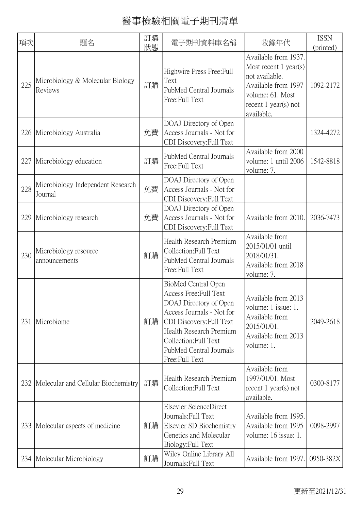| 項次  | 題名                                           | 訂購<br>狀態 | 電子期刊資料庫名稱                                                                                                                                                                                                                         | 收錄年代                                                                                                                                                 | <b>ISSN</b><br>(printed) |
|-----|----------------------------------------------|----------|-----------------------------------------------------------------------------------------------------------------------------------------------------------------------------------------------------------------------------------|------------------------------------------------------------------------------------------------------------------------------------------------------|--------------------------|
| 225 | Microbiology & Molecular Biology<br>Reviews  | 訂購       | Highwire Press Free: Full<br>Text<br>PubMed Central Journals<br>Free:Full Text                                                                                                                                                    | Available from 1937.<br>Most recent $1$ year(s)<br>not available.<br>Available from 1997<br>volume: 61. Most<br>recent $1$ year(s) not<br>available. | 1092-2172                |
|     | 226 Microbiology Australia                   | 免費       | DOAJ Directory of Open<br>Access Journals - Not for<br>CDI Discovery: Full Text                                                                                                                                                   |                                                                                                                                                      | 1324-4272                |
| 227 | Microbiology education                       | 訂購       | PubMed Central Journals<br>Free:Full Text                                                                                                                                                                                         | Available from 2000<br>volume: 1 until 2006<br>volume: 7.                                                                                            | 1542-8818                |
| 228 | Microbiology Independent Research<br>Journal | 免費       | DOAJ Directory of Open<br>Access Journals - Not for<br>CDI Discovery: Full Text                                                                                                                                                   |                                                                                                                                                      |                          |
| 229 | Microbiology research                        | 免費       | DOAJ Directory of Open<br>Access Journals - Not for<br>CDI Discovery: Full Text                                                                                                                                                   | Available from 2010.                                                                                                                                 | 2036-7473                |
| 230 | Microbiology resource<br>announcements       | 訂購       | Health Research Premium<br>Collection: Full Text<br>PubMed Central Journals<br>Free:Full Text                                                                                                                                     | Available from<br>2015/01/01 until<br>2018/01/31.<br>Available from 2018<br>volume: 7.                                                               |                          |
| 231 | Microbiome                                   | 訂購       | BioMed Central Open<br>Access Free: Full Text<br>DOAJ Directory of Open<br>Access Journals - Not for<br>CDI Discovery: Full Text<br>Health Research Premium<br>Collection: Full Text<br>PubMed Central Journals<br>Free:Full Text | Available from 2013<br>volume: 1 issue: 1.<br>Available from<br>2015/01/01.<br>Available from 2013<br>volume: 1.                                     | 2049-2618                |
|     | 232 Molecular and Cellular Biochemistry      | 訂購       | Health Research Premium<br>Collection: Full Text                                                                                                                                                                                  | Available from<br>1997/01/01. Most<br>recent $1$ year(s) not<br>available.                                                                           | 0300-8177                |
| 233 | Molecular aspects of medicine                | 訂購       | Elsevier ScienceDirect<br>Journals: Full Text<br>Elsevier SD Biochemistry<br>Genetics and Molecular<br>Biology: Full Text                                                                                                         | Available from 1995.<br>Available from 1995<br>volume: 16 issue: 1.                                                                                  | 0098-2997                |
|     | 234   Molecular Microbiology                 | 訂購       | Wiley Online Library All<br>Journals: Full Text                                                                                                                                                                                   | Available from 1997.                                                                                                                                 | 0950-382X                |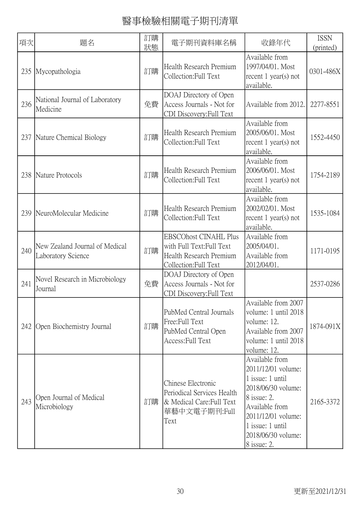| 項次  | 題名                                                   | 訂購<br>狀態 | 電子期刊資料庫名稱                                                                                                     | 收錄年代                                                                                                                                                                                           | <b>ISSN</b><br>(printed) |
|-----|------------------------------------------------------|----------|---------------------------------------------------------------------------------------------------------------|------------------------------------------------------------------------------------------------------------------------------------------------------------------------------------------------|--------------------------|
| 235 | Mycopathologia                                       | 訂購       | Health Research Premium<br>Collection: Full Text                                                              | Available from<br>1997/04/01. Most<br>recent $1$ year(s) not<br>available.                                                                                                                     | 0301-486X                |
| 236 | National Journal of Laboratory<br>Medicine           | 免費       | DOAJ Directory of Open<br>Access Journals - Not for<br>CDI Discovery: Full Text                               | Available from 2012.                                                                                                                                                                           | 2277-8551                |
| 237 | Nature Chemical Biology                              | 訂購       | Health Research Premium<br>Collection: Full Text                                                              | Available from<br>2005/06/01. Most<br>recent $1$ year(s) not<br>available.                                                                                                                     | 1552-4450                |
| 238 | Nature Protocols                                     | 訂購       | Health Research Premium<br>Collection: Full Text                                                              | Available from<br>2006/06/01. Most<br>recent $1$ year(s) not<br>available.                                                                                                                     | 1754-2189                |
| 239 | NeuroMolecular Medicine                              | 訂購       | Health Research Premium<br>Collection: Full Text                                                              | Available from<br>2002/02/01. Most<br>recent $1$ year(s) not<br>available.                                                                                                                     | 1535-1084                |
| 240 | New Zealand Journal of Medical<br>Laboratory Science | 訂購       | <b>EBSCOhost CINAHL Plus</b><br>with Full Text: Full Text<br>Health Research Premium<br>Collection: Full Text | Available from<br>2005/04/01.<br>Available from<br>2012/04/01.                                                                                                                                 | 1171-0195                |
| 241 | Novel Research in Microbiology<br>Journal            | 免費       | DOAJ Directory of Open<br>Access Journals - Not for<br>CDI Discovery: Full Text                               |                                                                                                                                                                                                | 2537-0286                |
| 242 | Open Biochemistry Journal                            | 訂購       | PubMed Central Journals<br>Free:Full Text<br>PubMed Central Open<br>Access: Full Text                         | Available from 2007<br>volume: 1 until 2018<br>volume: 12.<br>Available from 2007<br>volume: 1 until 2018<br>volume: 12.                                                                       | 1874-091X                |
| 243 | Open Journal of Medical<br>Microbiology              | 訂購       | Chinese Electronic<br>Periodical Services Health<br>& Medical Care: Full Text<br>華藝中文電子期刊:Full<br>Text        | Available from<br>2011/12/01 volume:<br>1 issue: 1 until<br>2018/06/30 volume:<br>8 issue: 2.<br>Available from<br>2011/12/01 volume:<br>1 issue: 1 until<br>2018/06/30 volume:<br>8 issue: 2. | 2165-3372                |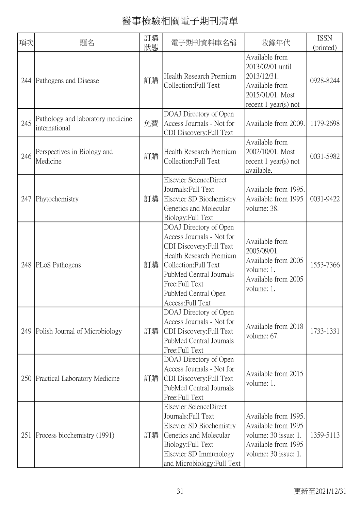| 項次  | 題名                                                 | 訂購<br>狀態 | 電子期刊資料庫名稱                                                                                                                                                                                                                    | 收錄年代                                                                                                               | <b>ISSN</b><br>(printed) |
|-----|----------------------------------------------------|----------|------------------------------------------------------------------------------------------------------------------------------------------------------------------------------------------------------------------------------|--------------------------------------------------------------------------------------------------------------------|--------------------------|
|     | 244 Pathogens and Disease                          | 訂購       | Health Research Premium<br>Collection: Full Text                                                                                                                                                                             | Available from<br>2013/02/01 until<br>2013/12/31.<br>Available from<br>2015/01/01. Most<br>recent $1$ year(s) not  | 0928-8244                |
| 245 | Pathology and laboratory medicine<br>international | 免費       | DOAJ Directory of Open<br>Access Journals - Not for<br>CDI Discovery: Full Text                                                                                                                                              | Available from 2009.                                                                                               | 1179-2698                |
| 246 | Perspectives in Biology and<br>Medicine            | 訂購       | Health Research Premium<br>Collection: Full Text                                                                                                                                                                             | Available from<br>2002/10/01. Most<br>recent $1$ year(s) not<br>available.                                         | 0031-5982                |
| 247 | Phytochemistry                                     | 訂購       | Elsevier ScienceDirect<br>Journals: Full Text<br>Elsevier SD Biochemistry<br>Genetics and Molecular<br>Biology: Full Text                                                                                                    | Available from 1995.<br>Available from 1995<br>volume: 38.                                                         | 0031-9422                |
|     | 248 PLoS Pathogens                                 | 訂購       | DOAJ Directory of Open<br>Access Journals - Not for<br>CDI Discovery: Full Text<br>Health Research Premium<br>Collection: Full Text<br>PubMed Central Journals<br>Free:Full Text<br>PubMed Central Open<br>Access: Full Text | Available from<br>2005/09/01.<br>Available from 2005<br>volume: 1.<br>Available from 2005<br>volume: 1.            | 1553-7366                |
| 249 | Polish Journal of Microbiology                     | 訂購       | DOAJ Directory of Open<br>Access Journals - Not for<br>CDI Discovery: Full Text<br>PubMed Central Journals<br>Free:Full Text                                                                                                 | Available from 2018<br>volume: 67.                                                                                 | 1733-1331                |
|     | 250 Practical Laboratory Medicine                  | 訂購       | DOAJ Directory of Open<br>Access Journals - Not for<br>CDI Discovery: Full Text<br>PubMed Central Journals<br>Free:Full Text                                                                                                 | Available from 2015<br>volume: 1.                                                                                  |                          |
| 251 | Process biochemistry (1991)                        | 訂購       | Elsevier ScienceDirect<br>Journals: Full Text<br>Elsevier SD Biochemistry<br>Genetics and Molecular<br>Biology: Full Text<br>Elsevier SD Immunology<br>and Microbiology: Full Text                                           | Available from 1995.<br>Available from 1995<br>volume: 30 issue: 1.<br>Available from 1995<br>volume: 30 issue: 1. | 1359-5113                |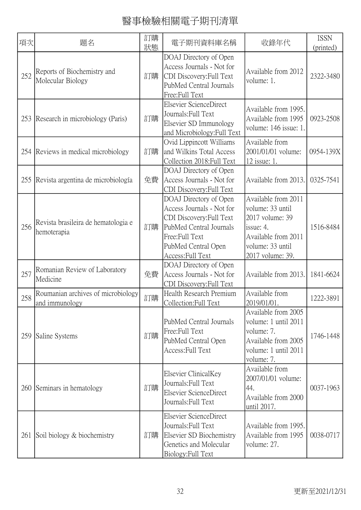| 項次  | 題名                                                   | 訂購<br>狀態 | 電子期刊資料庫名稱                                                                                                                                                                | 收錄年代                                                                                                                                      | <b>ISSN</b><br>(printed) |
|-----|------------------------------------------------------|----------|--------------------------------------------------------------------------------------------------------------------------------------------------------------------------|-------------------------------------------------------------------------------------------------------------------------------------------|--------------------------|
| 252 | Reports of Biochemistry and<br>Molecular Biology     | 訂購       | DOAJ Directory of Open<br>Access Journals - Not for<br>CDI Discovery: Full Text<br>PubMed Central Journals<br>Free:Full Text                                             | Available from 2012<br>volume: 1.                                                                                                         | 2322-3480                |
| 253 | Research in microbiology (Paris)                     | 訂購       | Elsevier ScienceDirect<br>Journals: Full Text<br>Elsevier SD Immunology<br>and Microbiology: Full Text                                                                   | Available from 1995.<br>Available from 1995<br>volume: 146 issue: 1.                                                                      | 0923-2508                |
| 254 | Reviews in medical microbiology                      | 訂購       | Ovid Lippincott Williams<br>and Wilkins Total Access<br>Collection 2018: Full Text                                                                                       | Available from<br>2001/01/01 volume:<br>12 issue: 1.                                                                                      | 0954-139X                |
| 255 | Revista argentina de microbiología                   | 免費       | DOAJ Directory of Open<br>Access Journals - Not for<br>CDI Discovery: Full Text                                                                                          | Available from 2013.                                                                                                                      | 0325-7541                |
| 256 | Revista brasileira de hematologia e<br>hemoterapia   | 訂購       | DOAJ Directory of Open<br>Access Journals - Not for<br>CDI Discovery: Full Text<br>PubMed Central Journals<br>Free:Full Text<br>PubMed Central Open<br>Access: Full Text | Available from 2011<br>volume: 33 until<br>2017 volume: 39<br>issue: $4$ .<br>Available from 2011<br>volume: 33 until<br>2017 volume: 39. | 1516-8484                |
| 257 | Romanian Review of Laboratory<br>Medicine            | 免費       | DOAJ Directory of Open<br>Access Journals - Not for<br>CDI Discovery: Full Text                                                                                          | Available from 2013.                                                                                                                      | 1841-6624                |
| 258 | Roumanian archives of microbiology<br>and immunology | 訂購       | Health Research Premium<br>Collection: Full Text                                                                                                                         | Available from<br>2019/01/01.                                                                                                             | 1222-3891                |
| 259 | Saline Systems                                       | 訂購       | PubMed Central Journals<br>Free:Full Text<br>PubMed Central Open<br>Access: Full Text                                                                                    | Available from 2005<br>volume: 1 until 2011<br>volume: 7.<br>Available from 2005<br>volume: 1 until 2011<br>volume: 7.                    | 1746-1448                |
| 260 | Seminars in hematology                               | 訂購       | Elsevier ClinicalKey<br>Journals: Full Text<br>Elsevier ScienceDirect<br>Journals: Full Text                                                                             | Available from<br>2007/01/01 volume:<br>44.<br>Available from 2000<br>until 2017.                                                         | 0037-1963                |
|     | 261 Soil biology & biochemistry                      | 訂購       | Elsevier ScienceDirect<br>Journals: Full Text<br>Elsevier SD Biochemistry<br>Genetics and Molecular<br>Biology: Full Text                                                | Available from 1995.<br>Available from 1995<br>volume: 27.                                                                                | 0038-0717                |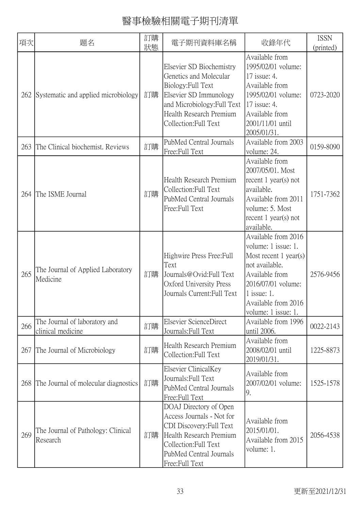| 項次  | 題名                                                 | 訂購 | 電子期刊資料庫名稱                                                                                                                                                                             | 收錄年代                                                                                                                                                                                         | <b>ISSN</b> |
|-----|----------------------------------------------------|----|---------------------------------------------------------------------------------------------------------------------------------------------------------------------------------------|----------------------------------------------------------------------------------------------------------------------------------------------------------------------------------------------|-------------|
|     |                                                    | 狀態 |                                                                                                                                                                                       |                                                                                                                                                                                              | (printed)   |
| 262 | Systematic and applied microbiology                | 訂購 | Elsevier SD Biochemistry<br>Genetics and Molecular<br>Biology: Full Text<br>Elsevier SD Immunology<br>and Microbiology: Full Text<br>Health Research Premium<br>Collection: Full Text | Available from<br>1995/02/01 volume:<br>17 issue: 4.<br>Available from<br>1995/02/01 volume:<br>17 issue: 4.<br>Available from<br>2001/11/01 until<br>2005/01/31.                            | 0723-2020   |
| 263 | The Clinical biochemist. Reviews                   | 訂購 | PubMed Central Journals<br>Free:Full Text                                                                                                                                             | Available from 2003<br>volume: 24.                                                                                                                                                           | 0159-8090   |
| 264 | The ISME Journal                                   | 訂購 | Health Research Premium<br>Collection: Full Text<br>PubMed Central Journals<br>Free:Full Text                                                                                         | Available from<br>2007/05/01. Most<br>recent $1$ year(s) not<br>available.<br>Available from 2011<br>volume: 5. Most<br>recent $1$ year(s) not<br>available.                                 | 1751-7362   |
| 265 | The Journal of Applied Laboratory<br>Medicine      | 訂購 | Highwire Press Free: Full<br>Text<br>Journals@Ovid:Full Text<br>Oxford University Press<br>Journals Current: Full Text                                                                | Available from 2016<br>volume: 1 issue: 1.<br>Most recent 1 year(s)<br>not available.<br>Available from<br>2016/07/01 volume:<br>$1$ issue: 1.<br>Available from 2016<br>volume: 1 issue: 1. | 2576-9456   |
| 266 | The Journal of laboratory and<br>clinical medicine | 訂購 | Elsevier ScienceDirect<br>Journals: Full Text                                                                                                                                         | Available from 1996<br>until 2006.                                                                                                                                                           | 0022-2143   |
| 267 | The Journal of Microbiology                        | 訂購 | Health Research Premium<br>Collection: Full Text                                                                                                                                      | Available from<br>2008/02/01 until<br>2019/01/31.                                                                                                                                            | 1225-8873   |
| 268 | The Journal of molecular diagnostics               | 訂購 | Elsevier ClinicalKey<br>Journals: Full Text<br>PubMed Central Journals<br>Free:Full Text                                                                                              | Available from<br>2007/02/01 volume:<br>9.                                                                                                                                                   | 1525-1578   |
| 269 | The Journal of Pathology: Clinical<br>Research     | 訂購 | DOAJ Directory of Open<br>Access Journals - Not for<br>CDI Discovery: Full Text<br>Health Research Premium<br>Collection: Full Text<br>PubMed Central Journals<br>Free: Full Text     | Available from<br>2015/01/01.<br>Available from 2015<br>volume: 1.                                                                                                                           | 2056-4538   |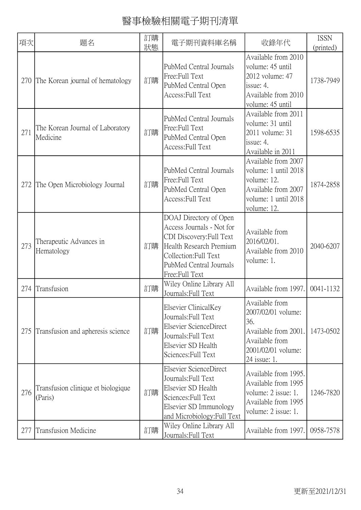| 項次  | 題名                                            | 訂購<br>狀態 | 電子期刊資料庫名稱                                                                                                                                                                        | 收錄年代                                                                                                                        | <b>ISSN</b><br>(printed) |
|-----|-----------------------------------------------|----------|----------------------------------------------------------------------------------------------------------------------------------------------------------------------------------|-----------------------------------------------------------------------------------------------------------------------------|--------------------------|
| 270 | The Korean journal of hematology              | 訂購       | PubMed Central Journals<br>Free:Full Text<br>PubMed Central Open<br>Access: Full Text                                                                                            | Available from 2010<br>volume: 45 until<br>2012 volume: 47<br>issue: 4.<br>Available from 2010<br>volume: 45 until          | 1738-7949                |
| 271 | The Korean Journal of Laboratory<br>Medicine  | 訂購       | PubMed Central Journals<br>Free:Full Text<br>PubMed Central Open<br>Access: Full Text                                                                                            | Available from 2011<br>volume: 31 until<br>2011 volume: 31<br>issue: 4.<br>Available in 2011                                | 1598-6535                |
| 272 | The Open Microbiology Journal                 | 訂購       | PubMed Central Journals<br>Free:Full Text<br>PubMed Central Open<br>Access: Full Text                                                                                            | Available from 2007<br>volume: 1 until 2018<br>volume: 12.<br>Available from 2007<br>volume: 1 until 2018<br>volume: 12.    | 1874-2858                |
| 273 | Therapeutic Advances in<br>Hematology         | 訂購       | DOAJ Directory of Open<br>Access Journals - Not for<br>CDI Discovery: Full Text<br>Health Research Premium<br>Collection: Full Text<br>PubMed Central Journals<br>Free:Full Text | Available from<br>2016/02/01.<br>Available from 2010<br>volume: 1.                                                          | 2040-6207                |
| 274 | Transfusion                                   | 訂購       | Wiley Online Library All<br>Journals: Full Text                                                                                                                                  | Available from 1997.                                                                                                        | 0041-1132                |
| 275 | Transfusion and apheresis science             | 訂購       | Elsevier ClinicalKey<br>Journals: Full Text<br>Elsevier ScienceDirect<br>Journals: Full Text<br>Elsevier SD Health<br>Sciences: Full Text                                        | Available from<br>2007/02/01 volume:<br>36.<br>Available from 2001.<br>Available from<br>2001/02/01 volume:<br>24 issue: 1. | 1473-0502                |
| 276 | Transfusion clinique et biologique<br>(Paris) | 訂購       | Elsevier ScienceDirect<br>Journals: Full Text<br>Elsevier SD Health<br>Sciences: Full Text<br>Elsevier SD Immunology<br>and Microbiology: Full Text                              | Available from 1995.<br>Available from 1995<br>volume: 2 issue: 1.<br>Available from 1995<br>volume: 2 issue: 1.            | 1246-7820                |
| 277 | Transfusion Medicine                          | 訂購       | Wiley Online Library All<br>Journals: Full Text                                                                                                                                  | Available from 1997.                                                                                                        | 0958-7578                |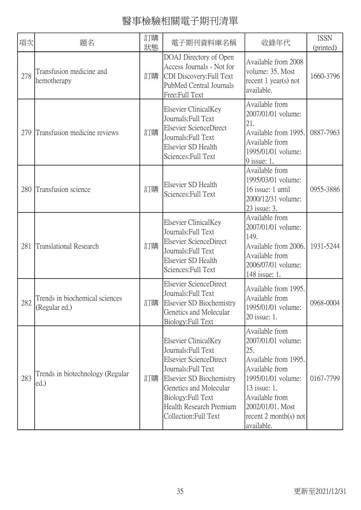| 項次  | 題名                                              | 訂購<br>狀態 | 電子期刊資料庫名稱                                                                                                                                                                                                                    | 收錄年代                                                                                                                                                                                                       | <b>ISSN</b><br>(printed) |
|-----|-------------------------------------------------|----------|------------------------------------------------------------------------------------------------------------------------------------------------------------------------------------------------------------------------------|------------------------------------------------------------------------------------------------------------------------------------------------------------------------------------------------------------|--------------------------|
| 278 | Transfusion medicine and<br>hemotherapy         | 訂購       | DOAJ Directory of Open<br>Access Journals - Not for<br>CDI Discovery: Full Text<br>PubMed Central Journals<br>Free:Full Text                                                                                                 | Available from 2008<br>volume: 35. Most<br>recent 1 year(s) not<br>available.                                                                                                                              | 1660-3796                |
| 279 | Transfusion medicine reviews                    | 訂購       | Elsevier ClinicalKey<br>Journals: Full Text<br>Elsevier ScienceDirect<br>Journals: Full Text<br>Elsevier SD Health<br>Sciences: Full Text                                                                                    | Available from<br>2007/01/01 volume:<br>21.<br>Available from 1995.<br>Available from<br>1995/01/01 volume:<br>9 issue: 1.                                                                                 | 0887-7963                |
| 280 | Transfusion science                             | 訂購       | Elsevier SD Health<br>Sciences: Full Text                                                                                                                                                                                    | Available from<br>1995/03/01 volume:<br>16 issue: 1 until<br>2000/12/31 volume:<br>23 issue: 3.                                                                                                            | 0955-3886                |
| 281 | Translational Research                          | 訂購       | Elsevier ClinicalKey<br>Journals: Full Text<br>Elsevier ScienceDirect<br>Journals: Full Text<br>Elsevier SD Health<br>Sciences: Full Text                                                                                    | Available from<br>2007/01/01 volume:<br>149.<br>Available from 2006.<br>Available from<br>2006/07/01 volume:<br>148 issue: 1.                                                                              | 1931-5244                |
| 282 | Trends in biochemical sciences<br>(Regular ed.) | 訂購       | Elsevier ScienceDirect<br>Journals: Full Text<br>Elsevier SD Biochemistry<br>Genetics and Molecular<br>Biology: Full Text                                                                                                    | Available from 1995.<br>Available from<br>1995/01/01 volume:<br>20 issue: 1.                                                                                                                               | 0968-0004                |
| 283 | Trends in biotechnology (Regular<br>ed.)        | 訂購       | Elsevier ClinicalKey<br>Journals: Full Text<br>Elsevier ScienceDirect<br>Journals: Full Text<br>Elsevier SD Biochemistry<br>Genetics and Molecular<br>Biology: Full Text<br>Health Research Premium<br>Collection: Full Text | Available from<br>2007/01/01 volume:<br>25.<br>Available from 1995.<br>Available from<br>1995/01/01 volume:<br>13 issue: 1.<br>Available from<br>2002/01/01. Most<br>recent $2$ month(s) not<br>available. | 0167-7799                |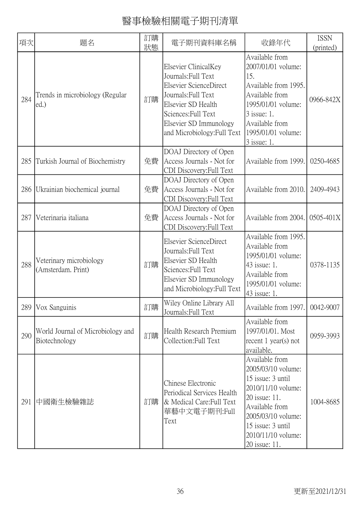| 項次  | 題名                                                 | 訂購<br>狀態 | 電子期刊資料庫名稱                                                                                                                                                                                          | 收錄年代                                                                                                                                                                                                 | <b>ISSN</b><br>(printed) |
|-----|----------------------------------------------------|----------|----------------------------------------------------------------------------------------------------------------------------------------------------------------------------------------------------|------------------------------------------------------------------------------------------------------------------------------------------------------------------------------------------------------|--------------------------|
| 284 | Trends in microbiology (Regular<br>ed.)            | 訂購       | Elsevier ClinicalKey<br>Journals: Full Text<br>Elsevier ScienceDirect<br>Journals: Full Text<br>Elsevier SD Health<br>Sciences: Full Text<br>Elsevier SD Immunology<br>and Microbiology: Full Text | Available from<br>2007/01/01 volume:<br>15.<br>Available from 1995.<br>Available from<br>1995/01/01 volume:<br>3 issue: 1.<br>Available from<br>1995/01/01 volume:<br>$3$ issue: 1.                  | 0966-842X                |
| 285 | Turkish Journal of Biochemistry                    | 免費       | DOAJ Directory of Open<br>Access Journals - Not for<br>CDI Discovery: Full Text                                                                                                                    | Available from 1999.                                                                                                                                                                                 | 0250-4685                |
| 286 | Ukrainian biochemical journal                      | 免費       | DOAJ Directory of Open<br>Access Journals - Not for<br>CDI Discovery: Full Text                                                                                                                    | Available from 2010.                                                                                                                                                                                 | 2409-4943                |
| 287 | Veterinaria italiana                               | 免費       | DOAJ Directory of Open<br>Access Journals - Not for<br>CDI Discovery: Full Text                                                                                                                    | Available from 2004.                                                                                                                                                                                 | 0505-401X                |
| 288 | Veterinary microbiology<br>(Amsterdam. Print)      | 訂購       | Elsevier ScienceDirect<br>Journals: Full Text<br>Elsevier SD Health<br>Sciences: Full Text<br>Elsevier SD Immunology<br>and Microbiology: Full Text                                                | Available from 1995.<br>Available from<br>1995/01/01 volume:<br>43 issue: 1.<br>Available from<br>1995/01/01 volume:<br>43 issue: 1.                                                                 | 0378-1135                |
|     | 289   Vox Sanguinis                                | 訂購       | Wiley Online Library All<br>Journals: Full Text                                                                                                                                                    | Available from 1997. 0042-9007                                                                                                                                                                       |                          |
| 290 | World Journal of Microbiology and<br>Biotechnology | 訂購       | Health Research Premium<br>Collection: Full Text                                                                                                                                                   | Available from<br>1997/01/01. Most<br>recent $1$ year(s) not<br>available.                                                                                                                           | 0959-3993                |
| 291 | 中國衛生檢驗雜誌                                           | 訂購       | Chinese Electronic<br>Periodical Services Health<br>& Medical Care: Full Text<br>華藝中文電子期刊:Full<br>Text                                                                                             | Available from<br>2005/03/10 volume:<br>15 issue: 3 until<br>2010/11/10 volume:<br>20 issue: 11.<br>Available from<br>2005/03/10 volume:<br>15 issue: 3 until<br>2010/11/10 volume:<br>20 issue: 11. | 1004-8685                |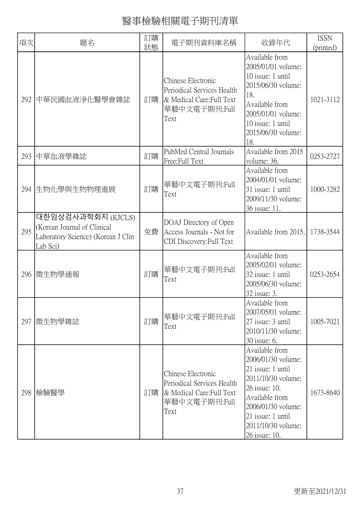| 項次  | 題名                                                                                                  | 訂購<br>狀態 | 電子期刊資料庫名稱                                                                                              | 收錄年代                                                                                                                                                                                                 | <b>ISSN</b><br>(printed) |
|-----|-----------------------------------------------------------------------------------------------------|----------|--------------------------------------------------------------------------------------------------------|------------------------------------------------------------------------------------------------------------------------------------------------------------------------------------------------------|--------------------------|
| 292 | 中華民國血液淨化醫學會雜誌                                                                                       | 訂購       | Chinese Electronic<br>Periodical Services Health<br>& Medical Care: Full Text<br>華藝中文電子期刊:Full<br>Text | Available from<br>2005/01/01 volume:<br>10 issue: 1 until<br>2015/06/30 volume:<br>18.<br>Available from<br>2005/01/01 volume:<br>10 issue: 1 until<br>2015/06/30 volume:<br>18.                     | 1021-3112                |
| 293 | 中華血液學雜誌                                                                                             | 訂購       | PubMed Central Journals<br>Free:Full Text                                                              | Available from 2015<br>volume: 36.                                                                                                                                                                   | 0253-2727                |
| 294 | 生物化學與生物物理進展                                                                                         | 訂購       | 華藝中文電子期刊:Full<br>Text                                                                                  | Available from<br>2004/01/01 volume:<br>31 issue: 1 until<br>2009/11/30 volume:<br>36 issue: 11.                                                                                                     | 1000-3282                |
| 295 | 대한임상검사과학회지 (KJCLS)<br>(Korean Journal of Clinical<br>Laboratory Science) (Korean J Clin<br>Lab Sci) | 免費       | DOAJ Directory of Open<br>Access Journals - Not for<br>CDI Discovery: Full Text                        | Available from 2015.                                                                                                                                                                                 | 1738-3544                |
| 296 | 微生物學通報                                                                                              | 訂購       | 華藝中文電子期刊:Full<br>Text                                                                                  | Available from<br>2005/02/01 volume:<br>32 issue: 1 until<br>2005/06/30 volume:<br>32 issue: 3.                                                                                                      | 0253-2654                |
| 297 | 微生物學雜誌                                                                                              | 訂購       | 華藝中文電子期刊:Full<br>Text                                                                                  | Available from<br>2007/05/01 volume:<br>27 issue: 3 until<br>2010/11/30 volume:<br>30 issue: 6.                                                                                                      | 1005-7021                |
| 298 | 檢驗醫學                                                                                                | 訂購       | Chinese Electronic<br>Periodical Services Health<br>& Medical Care: Full Text<br>華藝中文電子期刊:Full<br>Text | Available from<br>2006/01/30 volume:<br>21 issue: 1 until<br>2011/10/30 volume:<br>26 issue: 10.<br>Available from<br>2006/01/30 volume:<br>21 issue: 1 until<br>2011/10/30 volume:<br>26 issue: 10. | 1673-8640                |